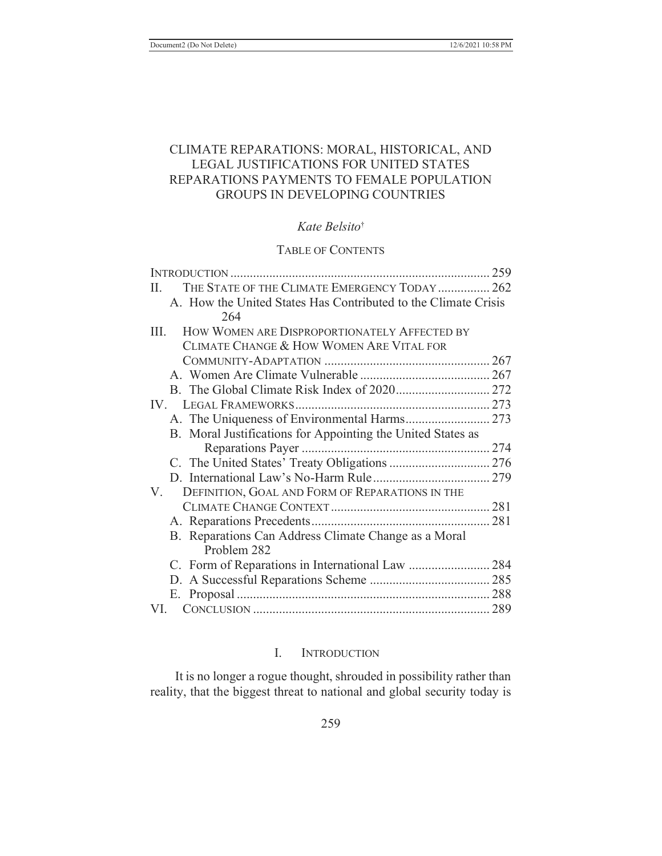# CLIMATE REPARATIONS: MORAL, HISTORICAL, AND LEGAL JUSTIFICATIONS FOR UNITED STATES REPARATIONS PAYMENTS TO FEMALE POPULATION GROUPS IN DEVELOPING COUNTRIES

## *Kate Belsito*†

## TABLE OF CONTENTS

| THE STATE OF THE CLIMATE EMERGENCY TODAY  262<br>Н.            |  |
|----------------------------------------------------------------|--|
| A. How the United States Has Contributed to the Climate Crisis |  |
| 264                                                            |  |
| HOW WOMEN ARE DISPROPORTIONATELY AFFECTED BY<br>III.           |  |
| CLIMATE CHANGE & HOW WOMEN ARE VITAL FOR                       |  |
|                                                                |  |
|                                                                |  |
|                                                                |  |
| $IV_{-}$                                                       |  |
|                                                                |  |
| B. Moral Justifications for Appointing the United States as    |  |
|                                                                |  |
|                                                                |  |
|                                                                |  |
| V.<br>DEFINITION, GOAL AND FORM OF REPARATIONS IN THE          |  |
|                                                                |  |
|                                                                |  |
| B. Reparations Can Address Climate Change as a Moral           |  |
| Problem 282                                                    |  |
|                                                                |  |
|                                                                |  |
|                                                                |  |
| VI.                                                            |  |

## I. INTRODUCTION

It is no longer a rogue thought, shrouded in possibility rather than reality, that the biggest threat to national and global security today is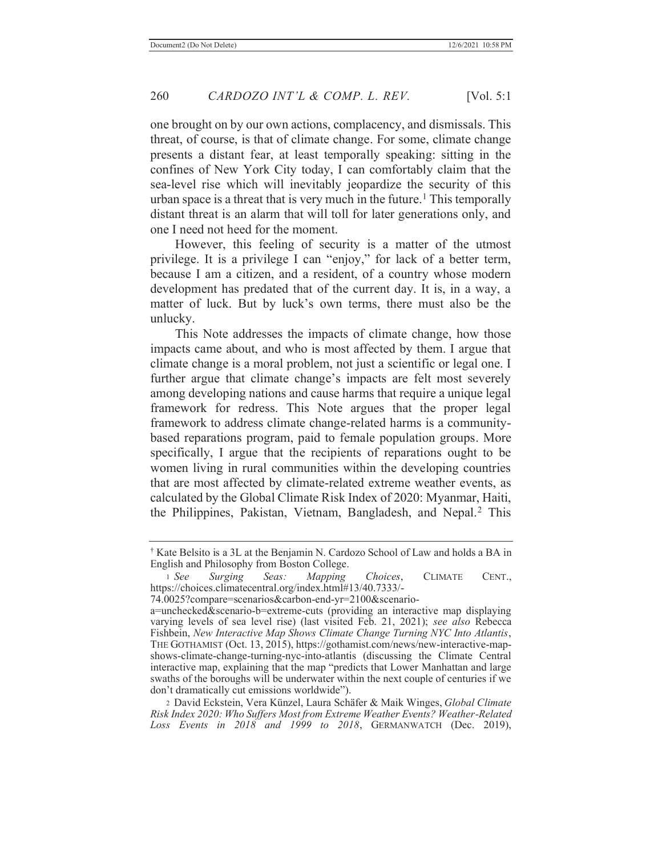one brought on by our own actions, complacency, and dismissals. This threat, of course, is that of climate change. For some, climate change presents a distant fear, at least temporally speaking: sitting in the confines of New York City today, I can comfortably claim that the sea-level rise which will inevitably jeopardize the security of this urban space is a threat that is very much in the future.<sup>1</sup> This temporally distant threat is an alarm that will toll for later generations only, and one I need not heed for the moment.

However, this feeling of security is a matter of the utmost privilege. It is a privilege I can "enjoy," for lack of a better term, because I am a citizen, and a resident, of a country whose modern development has predated that of the current day. It is, in a way, a matter of luck. But by luck's own terms, there must also be the unlucky.

This Note addresses the impacts of climate change, how those impacts came about, and who is most affected by them. I argue that climate change is a moral problem, not just a scientific or legal one. I further argue that climate change's impacts are felt most severely among developing nations and cause harms that require a unique legal framework for redress. This Note argues that the proper legal framework to address climate change-related harms is a communitybased reparations program, paid to female population groups. More specifically, I argue that the recipients of reparations ought to be women living in rural communities within the developing countries that are most affected by climate-related extreme weather events, as calculated by the Global Climate Risk Index of 2020: Myanmar, Haiti, the Philippines, Pakistan, Vietnam, Bangladesh, and Nepal.<sup>2</sup> This

<sup>†</sup> Kate Belsito is a 3L at the Benjamin N. Cardozo School of Law and holds a BA in English and Philosophy from Boston College.

<sup>1</sup> *See Surging Seas: Mapping Choices*, CLIMATE CENT., https://choices.climatecentral.org/index.html#13/40.7333/-

<sup>74.0025?</sup>compare=scenarios&carbon-end-yr=2100&scenario-

a=unchecked&scenario-b=extreme-cuts (providing an interactive map displaying varying levels of sea level rise) (last visited Feb. 21, 2021); *see also* Rebecca Fishbein, *New Interactive Map Shows Climate Change Turning NYC Into Atlantis*, THE GOTHAMIST (Oct. 13, 2015), https://gothamist.com/news/new-interactive-mapshows-climate-change-turning-nyc-into-atlantis (discussing the Climate Central interactive map, explaining that the map "predicts that Lower Manhattan and large swaths of the boroughs will be underwater within the next couple of centuries if we don't dramatically cut emissions worldwide").

<sup>2</sup> David Eckstein, Vera Künzel, Laura Schäfer & Maik Winges, *Global Climate Risk Index 2020: Who Suffers Most from Extreme Weather Events? Weather-Related Loss Events in 2018 and 1999 to 2018*, GERMANWATCH (Dec. 2019),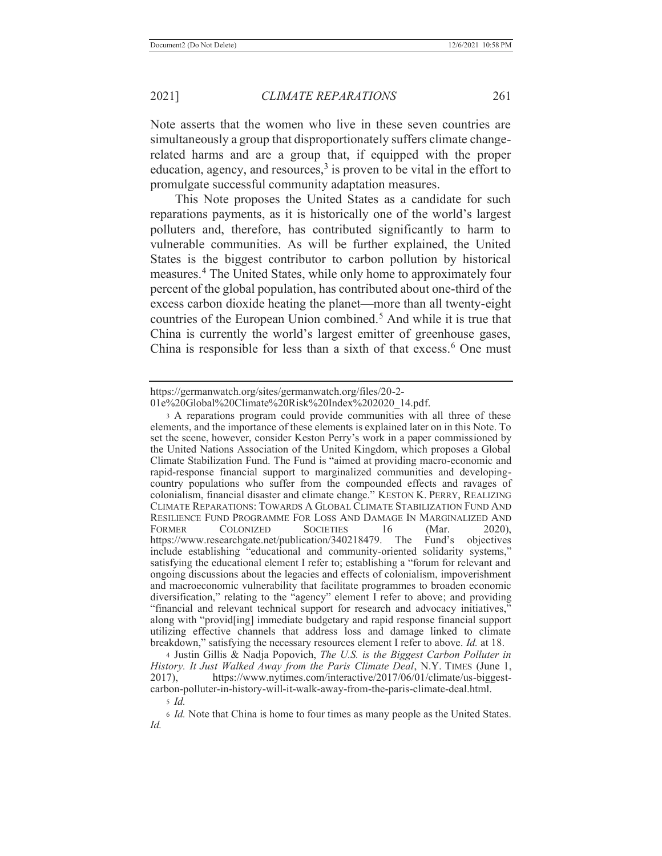Note asserts that the women who live in these seven countries are simultaneously a group that disproportionately suffers climate changerelated harms and are a group that, if equipped with the proper education, agency, and resources, $3$  is proven to be vital in the effort to promulgate successful community adaptation measures.

This Note proposes the United States as a candidate for such reparations payments, as it is historically one of the world's largest polluters and, therefore, has contributed significantly to harm to vulnerable communities. As will be further explained, the United States is the biggest contributor to carbon pollution by historical measures.4 The United States, while only home to approximately four percent of the global population, has contributed about one-third of the excess carbon dioxide heating the planet—more than all twenty-eight countries of the European Union combined.5 And while it is true that China is currently the world's largest emitter of greenhouse gases, China is responsible for less than a sixth of that excess.<sup>6</sup> One must

4 Justin Gillis & Nadja Popovich, *The U.S. is the Biggest Carbon Polluter in History. It Just Walked Away from the Paris Climate Deal*, N.Y. TIMES (June 1, 2017), https://www.nytimes.com/interactive/2017/06/01/climate/us-biggestcarbon-polluter-in-history-will-it-walk-away-from-the-paris-climate-deal.html.

https://germanwatch.org/sites/germanwatch.org/files/20-2-

<sup>01</sup>e%20Global%20Climate%20Risk%20Index%202020\_14.pdf.

<sup>3</sup> A reparations program could provide communities with all three of these elements, and the importance of these elements is explained later on in this Note. To set the scene, however, consider Keston Perry's work in a paper commissioned by the United Nations Association of the United Kingdom, which proposes a Global Climate Stabilization Fund. The Fund is "aimed at providing macro-economic and rapid-response financial support to marginalized communities and developingcountry populations who suffer from the compounded effects and ravages of colonialism, financial disaster and climate change." KESTON K. PERRY, REALIZING CLIMATE REPARATIONS: TOWARDS A GLOBAL CLIMATE STABILIZATION FUND AND RESILIENCE FUND PROGRAMME FOR LOSS AND DAMAGE IN MARGINALIZED AND FORMER COLONIZED SOCIETIES 16 (Mar. 2020), https://www.researchgate.net/publication/340218479. The Fund's objectives include establishing "educational and community-oriented solidarity systems," satisfying the educational element I refer to; establishing a "forum for relevant and ongoing discussions about the legacies and effects of colonialism, impoverishment and macroeconomic vulnerability that facilitate programmes to broaden economic diversification," relating to the "agency" element I refer to above; and providing "financial and relevant technical support for research and advocacy initiatives, along with "provid[ing] immediate budgetary and rapid response financial support utilizing effective channels that address loss and damage linked to climate breakdown," satisfying the necessary resources element I refer to above. *Id.* at 18.

<sup>5</sup> *Id.*

<sup>6</sup> *Id.* Note that China is home to four times as many people as the United States. *Id.*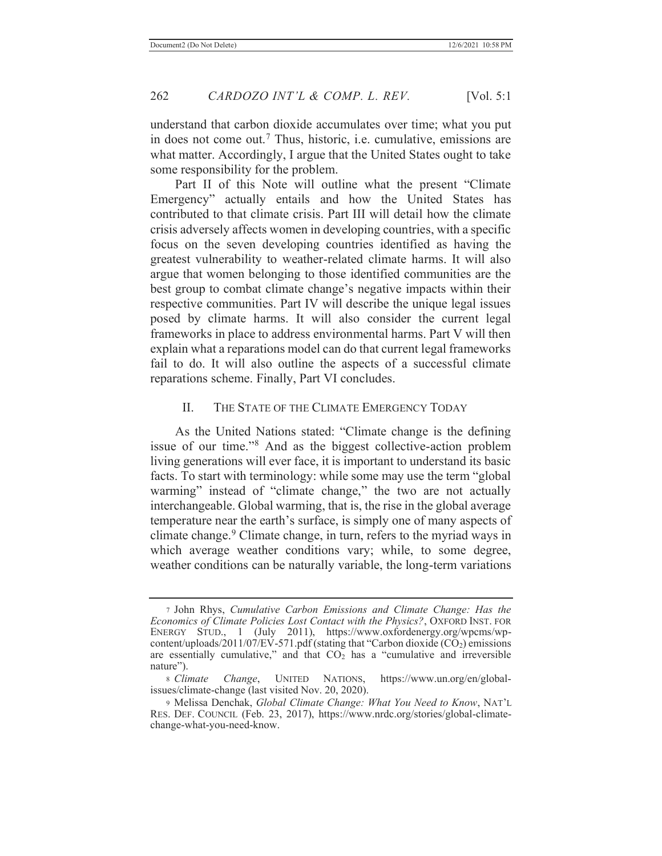understand that carbon dioxide accumulates over time; what you put in does not come out.7 Thus, historic, i.e. cumulative, emissions are what matter. Accordingly, I argue that the United States ought to take some responsibility for the problem.

Part II of this Note will outline what the present "Climate Emergency" actually entails and how the United States has contributed to that climate crisis. Part III will detail how the climate crisis adversely affects women in developing countries, with a specific focus on the seven developing countries identified as having the greatest vulnerability to weather-related climate harms. It will also argue that women belonging to those identified communities are the best group to combat climate change's negative impacts within their respective communities. Part IV will describe the unique legal issues posed by climate harms. It will also consider the current legal frameworks in place to address environmental harms. Part V will then explain what a reparations model can do that current legal frameworks fail to do. It will also outline the aspects of a successful climate reparations scheme. Finally, Part VI concludes.

#### II. THE STATE OF THE CLIMATE EMERGENCY TODAY

As the United Nations stated: "Climate change is the defining issue of our time."8 And as the biggest collective-action problem living generations will ever face, it is important to understand its basic facts. To start with terminology: while some may use the term "global warming" instead of "climate change," the two are not actually interchangeable. Global warming, that is, the rise in the global average temperature near the earth's surface, is simply one of many aspects of climate change.<sup>9</sup> Climate change, in turn, refers to the myriad ways in which average weather conditions vary; while, to some degree, weather conditions can be naturally variable, the long-term variations

<sup>7</sup> John Rhys, *Cumulative Carbon Emissions and Climate Change: Has the Economics of Climate Policies Lost Contact with the Physics?*, OXFORD INST. FOR ENERGY STUD., 1 (July 2011), https://www.oxfordenergy.org/wpcms/wpcontent/uploads/2011/07/EV-571.pdf (stating that "Carbon dioxide  $(CO<sub>2</sub>)$  emissions are essentially cumulative," and that  $CO<sub>2</sub>$  has a "cumulative and irreversible nature").

<sup>8</sup> *Climate Change*, UNITED NATIONS, https://www.un.org/en/globalissues/climate-change (last visited Nov. 20, 2020).

<sup>9</sup> Melissa Denchak, *Global Climate Change: What You Need to Know*, NAT'L RES. DEF. COUNCIL (Feb. 23, 2017), https://www.nrdc.org/stories/global-climatechange-what-you-need-know.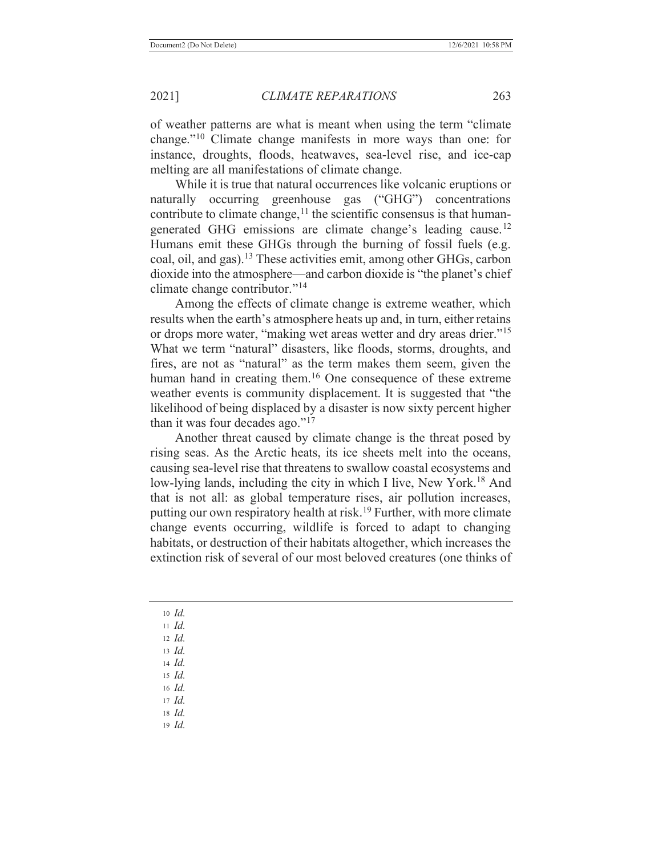of weather patterns are what is meant when using the term "climate change."10 Climate change manifests in more ways than one: for instance, droughts, floods, heatwaves, sea-level rise, and ice-cap melting are all manifestations of climate change.

While it is true that natural occurrences like volcanic eruptions or naturally occurring greenhouse gas ("GHG") concentrations contribute to climate change,  $\frac{11}{11}$  the scientific consensus is that humangenerated GHG emissions are climate change's leading cause.<sup>12</sup> Humans emit these GHGs through the burning of fossil fuels (e.g. coal, oil, and gas).13 These activities emit, among other GHGs, carbon dioxide into the atmosphere—and carbon dioxide is "the planet's chief climate change contributor."<sup>14</sup>

Among the effects of climate change is extreme weather, which results when the earth's atmosphere heats up and, in turn, either retains or drops more water, "making wet areas wetter and dry areas drier."<sup>15</sup> What we term "natural" disasters, like floods, storms, droughts, and fires, are not as "natural" as the term makes them seem, given the human hand in creating them.<sup>16</sup> One consequence of these extreme weather events is community displacement. It is suggested that "the likelihood of being displaced by a disaster is now sixty percent higher than it was four decades ago."<sup>17</sup>

Another threat caused by climate change is the threat posed by rising seas. As the Arctic heats, its ice sheets melt into the oceans, causing sea-level rise that threatens to swallow coastal ecosystems and low-lying lands, including the city in which I live, New York.<sup>18</sup> And that is not all: as global temperature rises, air pollution increases, putting our own respiratory health at risk.<sup>19</sup> Further, with more climate change events occurring, wildlife is forced to adapt to changing habitats, or destruction of their habitats altogether, which increases the extinction risk of several of our most beloved creatures (one thinks of

<sup>10</sup> *Id.*

<sup>11</sup> *Id.*

- <sup>12</sup> *Id.*
- <sup>13</sup> *Id.*
- <sup>14</sup> *Id.* <sup>15</sup> *Id.*

<sup>16</sup> *Id.*

<sup>17</sup> *Id.*

<sup>18</sup> *Id.*

19 *Id.*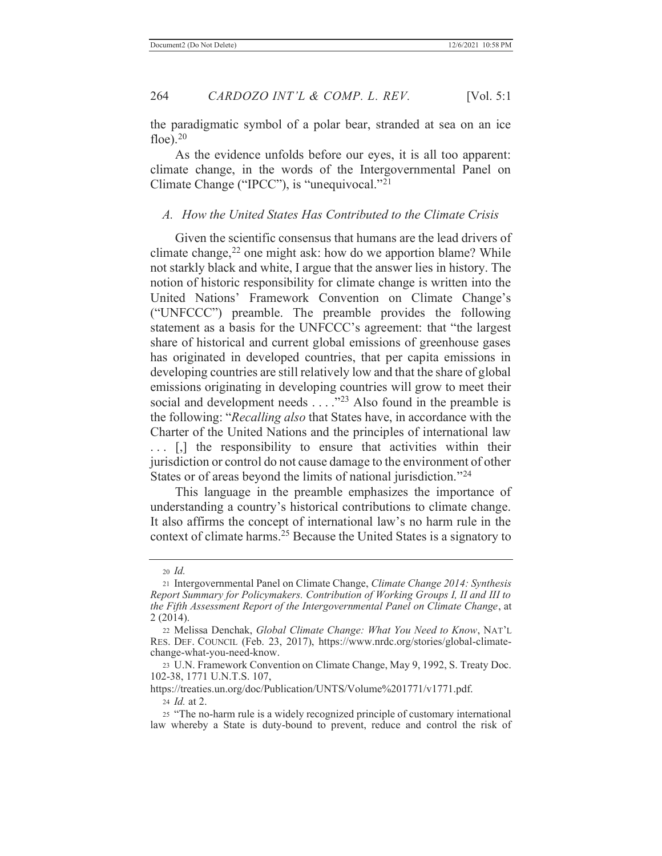the paradigmatic symbol of a polar bear, stranded at sea on an ice floe). $20$ 

As the evidence unfolds before our eyes, it is all too apparent: climate change, in the words of the Intergovernmental Panel on Climate Change ("IPCC"), is "unequivocal."<sup>21</sup>

### *A. How the United States Has Contributed to the Climate Crisis*

Given the scientific consensus that humans are the lead drivers of climate change, $^{22}$  one might ask: how do we apportion blame? While not starkly black and white, I argue that the answer lies in history. The notion of historic responsibility for climate change is written into the United Nations' Framework Convention on Climate Change's ("UNFCCC") preamble. The preamble provides the following statement as a basis for the UNFCCC's agreement: that "the largest share of historical and current global emissions of greenhouse gases has originated in developed countries, that per capita emissions in developing countries are still relatively low and that the share of global emissions originating in developing countries will grow to meet their social and development needs . . . .<sup>"23</sup> Also found in the preamble is the following: "*Recalling also* that States have, in accordance with the Charter of the United Nations and the principles of international law ... [,] the responsibility to ensure that activities within their jurisdiction or control do not cause damage to the environment of other States or of areas beyond the limits of national jurisdiction."<sup>24</sup>

This language in the preamble emphasizes the importance of understanding a country's historical contributions to climate change. It also affirms the concept of international law's no harm rule in the context of climate harms.25 Because the United States is a signatory to

https://treaties.un.org/doc/Publication/UNTS/Volume%201771/v1771.pdf. <sup>24</sup> *Id.* at 2.

<sup>25</sup> "The no-harm rule is a widely recognized principle of customary international law whereby a State is duty-bound to prevent, reduce and control the risk of

<sup>20</sup> *Id.*

<sup>21</sup> Intergovernmental Panel on Climate Change, *Climate Change 2014: Synthesis Report Summary for Policymakers. Contribution of Working Groups I, II and III to the Fifth Assessment Report of the Intergovernmental Panel on Climate Change*, at 2 (2014).

<sup>22</sup> Melissa Denchak, *Global Climate Change: What You Need to Know*, NAT'L RES. DEF. COUNCIL (Feb. 23, 2017), https://www.nrdc.org/stories/global-climatechange-what-you-need-know.

<sup>23</sup> U.N. Framework Convention on Climate Change, May 9, 1992, S. Treaty Doc. 102-38, 1771 U.N.T.S. 107,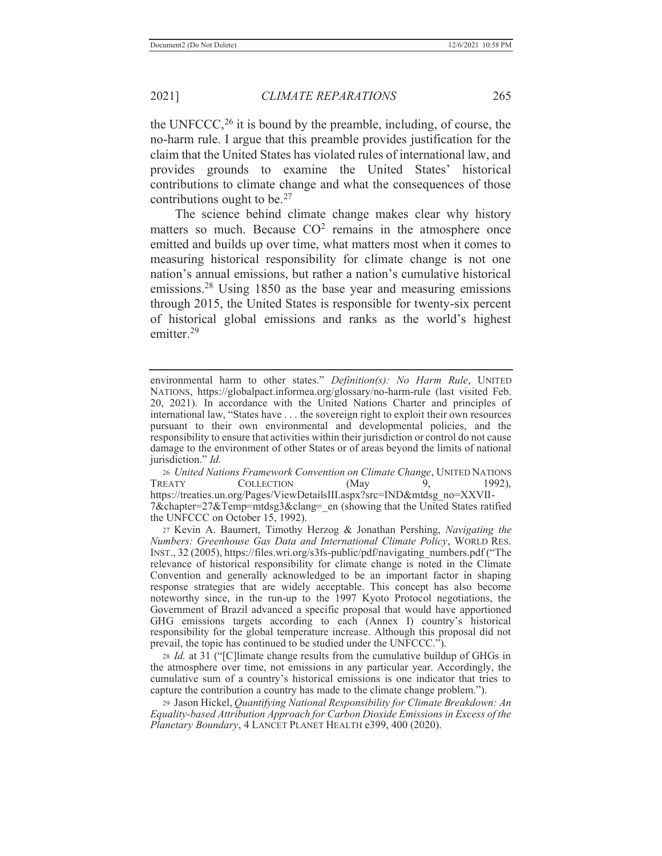the UNFCCC,  $^{26}$  it is bound by the preamble, including, of course, the no-harm rule. I argue that this preamble provides justification for the claim that the United States has violated rules of international law, and provides grounds to examine the United States' historical contributions to climate change and what the consequences of those contributions ought to be. $27$ 

The science behind climate change makes clear why history matters so much. Because  $CO<sup>2</sup>$  remains in the atmosphere once emitted and builds up over time, what matters most when it comes to measuring historical responsibility for climate change is not one nation's annual emissions, but rather a nation's cumulative historical emissions.28 Using 1850 as the base year and measuring emissions through 2015, the United States is responsible for twenty-six percent of historical global emissions and ranks as the world's highest emitter.29

environmental harm to other states." *Definition(s): No Harm Rule*, UNITED NATIONS, https://globalpact.informea.org/glossary/no-harm-rule (last visited Feb. 20, 2021). In accordance with the United Nations Charter and principles of international law, "States have . . . the sovereign right to exploit their own resources pursuant to their own environmental and developmental policies, and the responsibility to ensure that activities within their jurisdiction or control do not cause damage to the environment of other States or of areas beyond the limits of national jurisdiction." *Id.*

<sup>26</sup> *United Nations Framework Convention on Climate Change*, UNITED NATIONS TREATY COLLECTION (May 9, 1992), https://treaties.un.org/Pages/ViewDetailsIII.aspx?src=IND&mtdsg\_no=XXVII-7&chapter=27&Temp=mtdsg3&clang= en (showing that the United States ratified the UNFCCC on October 15, 1992).

<sup>27</sup> Kevin A. Baumert, Timothy Herzog & Jonathan Pershing, *Navigating the Numbers: Greenhouse Gas Data and International Climate Policy*, WORLD RES. INST., 32 (2005), https://files.wri.org/s3fs-public/pdf/navigating\_numbers.pdf ("The relevance of historical responsibility for climate change is noted in the Climate Convention and generally acknowledged to be an important factor in shaping response strategies that are widely acceptable. This concept has also become noteworthy since, in the run-up to the 1997 Kyoto Protocol negotiations, the Government of Brazil advanced a specific proposal that would have apportioned GHG emissions targets according to each (Annex I) country's historical responsibility for the global temperature increase. Although this proposal did not prevail, the topic has continued to be studied under the UNFCCC.").

<sup>28</sup> *Id.* at 31 ("[C]limate change results from the cumulative buildup of GHGs in the atmosphere over time, not emissions in any particular year. Accordingly, the cumulative sum of a country's historical emissions is one indicator that tries to capture the contribution a country has made to the climate change problem.").

<sup>29</sup> Jason Hickel, *Quantifying National Responsibility for Climate Breakdown: An Equality-based Attribution Approach for Carbon Dioxide Emissions in Excess of the Planetary Boundary*, 4 LANCET PLANET HEALTH e399, 400 (2020).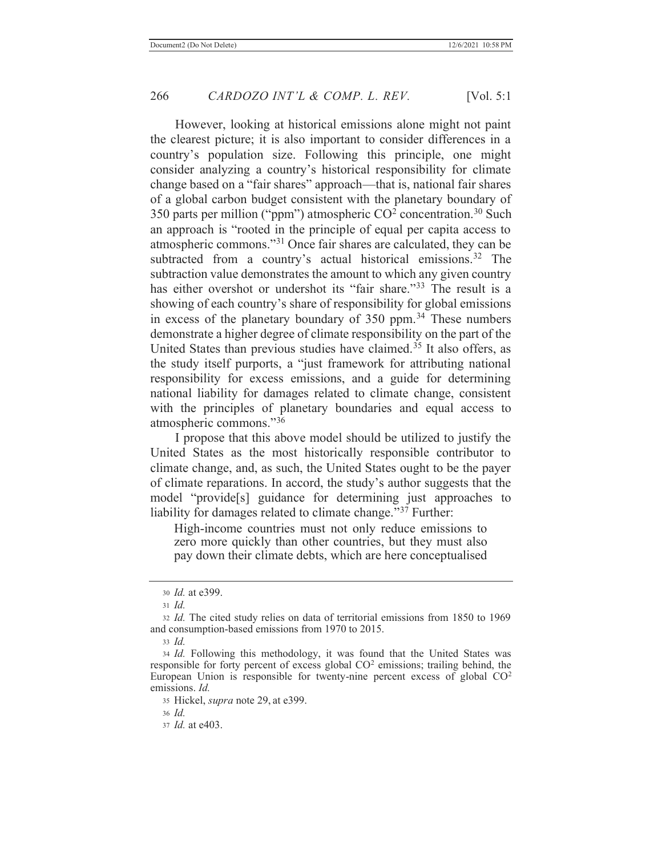However, looking at historical emissions alone might not paint the clearest picture; it is also important to consider differences in a country's population size. Following this principle, one might consider analyzing a country's historical responsibility for climate change based on a "fair shares" approach—that is, national fair shares of a global carbon budget consistent with the planetary boundary of 350 parts per million ("ppm") atmospheric  $CO<sup>2</sup>$  concentration.<sup>30</sup> Such an approach is "rooted in the principle of equal per capita access to atmospheric commons."31 Once fair shares are calculated, they can be subtracted from a country's actual historical emissions.<sup>32</sup> The subtraction value demonstrates the amount to which any given country has either overshot or undershot its "fair share."<sup>33</sup> The result is a showing of each country's share of responsibility for global emissions in excess of the planetary boundary of  $350$  ppm.<sup>34</sup> These numbers demonstrate a higher degree of climate responsibility on the part of the United States than previous studies have claimed.35 It also offers, as the study itself purports, a "just framework for attributing national responsibility for excess emissions, and a guide for determining national liability for damages related to climate change, consistent with the principles of planetary boundaries and equal access to atmospheric commons."<sup>36</sup>

I propose that this above model should be utilized to justify the United States as the most historically responsible contributor to climate change, and, as such, the United States ought to be the payer of climate reparations. In accord, the study's author suggests that the model "provide[s] guidance for determining just approaches to liability for damages related to climate change."<sup>37</sup> Further:

High-income countries must not only reduce emissions to zero more quickly than other countries, but they must also pay down their climate debts, which are here conceptualised

<sup>30</sup> *Id.* at e399.

<sup>31</sup> *Id.*

<sup>32</sup> *Id.* The cited study relies on data of territorial emissions from 1850 to 1969 and consumption-based emissions from 1970 to 2015.

<sup>33</sup> *Id.*

<sup>34</sup> *Id.* Following this methodology, it was found that the United States was responsible for forty percent of excess global  $CO<sup>2</sup>$  emissions; trailing behind, the European Union is responsible for twenty-nine percent excess of global CO2 emissions. *Id.* 

<sup>35</sup> Hickel, *supra* note 29, at e399.

<sup>36</sup> *Id.*

<sup>37</sup> *Id.* at e403.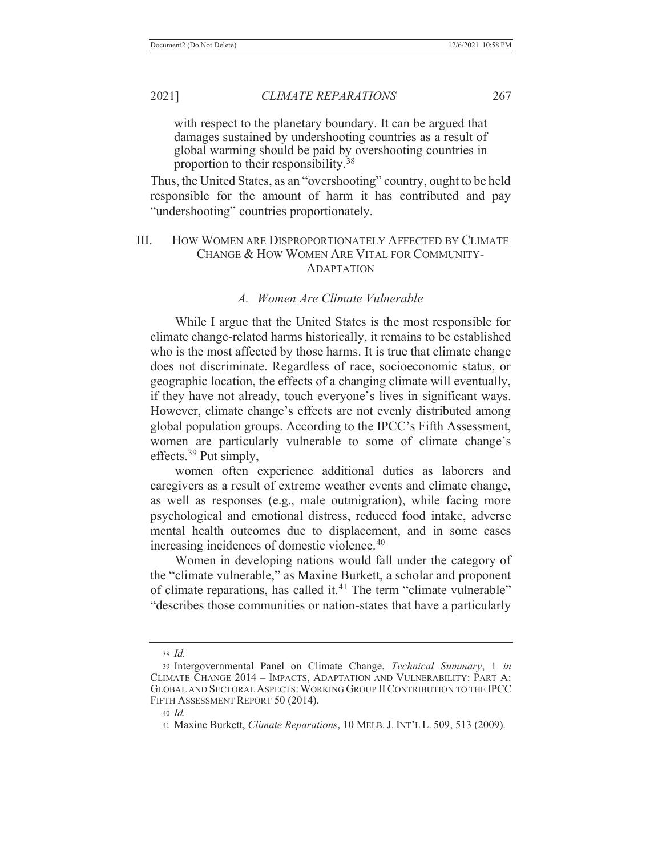with respect to the planetary boundary. It can be argued that damages sustained by undershooting countries as a result of global warming should be paid by overshooting countries in proportion to their responsibility.<sup>38</sup>

Thus, the United States, as an "overshooting" country, ought to be held responsible for the amount of harm it has contributed and pay "undershooting" countries proportionately.

## III. HOW WOMEN ARE DISPROPORTIONATELY AFFECTED BY CLIMATE CHANGE & HOW WOMEN ARE VITAL FOR COMMUNITY-ADAPTATION

### *A. Women Are Climate Vulnerable*

While I argue that the United States is the most responsible for climate change-related harms historically, it remains to be established who is the most affected by those harms. It is true that climate change does not discriminate. Regardless of race, socioeconomic status, or geographic location, the effects of a changing climate will eventually, if they have not already, touch everyone's lives in significant ways. However, climate change's effects are not evenly distributed among global population groups. According to the IPCC's Fifth Assessment, women are particularly vulnerable to some of climate change's effects.<sup>39</sup> Put simply,

women often experience additional duties as laborers and caregivers as a result of extreme weather events and climate change, as well as responses (e.g., male outmigration), while facing more psychological and emotional distress, reduced food intake, adverse mental health outcomes due to displacement, and in some cases increasing incidences of domestic violence.<sup>40</sup>

Women in developing nations would fall under the category of the "climate vulnerable," as Maxine Burkett, a scholar and proponent of climate reparations, has called it.<sup>41</sup> The term "climate vulnerable" "describes those communities or nation-states that have a particularly

<sup>38</sup> *Id.*

<sup>39</sup> Intergovernmental Panel on Climate Change, *Technical Summary*, 1 *in* CLIMATE CHANGE 2014 – IMPACTS, ADAPTATION AND VULNERABILITY: PART A: GLOBAL AND SECTORAL ASPECTS:WORKING GROUP II CONTRIBUTION TO THE IPCC FIFTH ASSESSMENT REPORT 50 (2014).

<sup>40</sup> *Id.*

<sup>41</sup> Maxine Burkett, *Climate Reparations*, 10 MELB. J. INT'L L. 509, 513 (2009).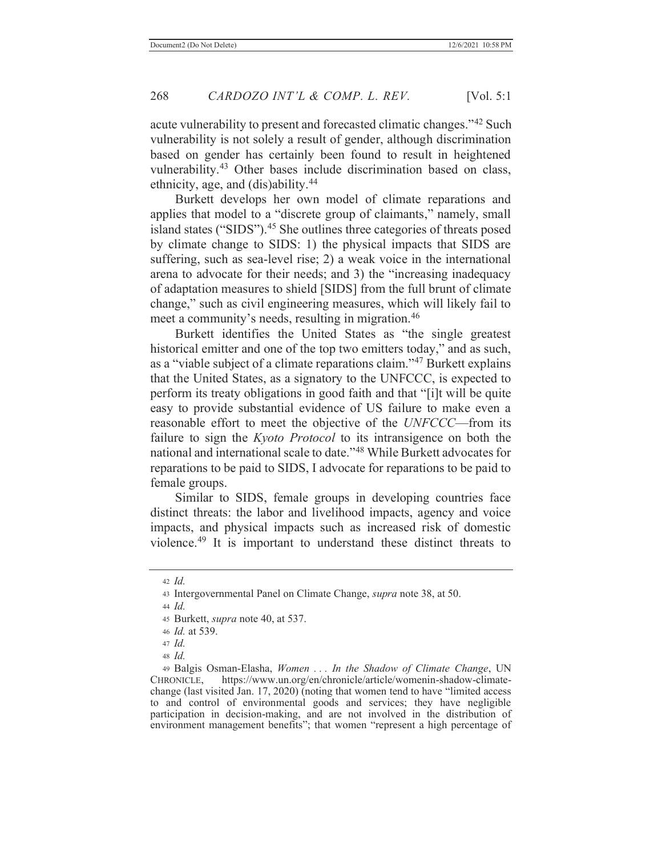acute vulnerability to present and forecasted climatic changes."42 Such vulnerability is not solely a result of gender, although discrimination based on gender has certainly been found to result in heightened vulnerability.<sup>43</sup> Other bases include discrimination based on class, ethnicity, age, and (dis)ability.44

Burkett develops her own model of climate reparations and applies that model to a "discrete group of claimants," namely, small island states ("SIDS").<sup>45</sup> She outlines three categories of threats posed by climate change to SIDS: 1) the physical impacts that SIDS are suffering, such as sea-level rise; 2) a weak voice in the international arena to advocate for their needs; and 3) the "increasing inadequacy of adaptation measures to shield [SIDS] from the full brunt of climate change," such as civil engineering measures, which will likely fail to meet a community's needs, resulting in migration.<sup>46</sup>

Burkett identifies the United States as "the single greatest historical emitter and one of the top two emitters today," and as such, as a "viable subject of a climate reparations claim."47 Burkett explains that the United States, as a signatory to the UNFCCC, is expected to perform its treaty obligations in good faith and that "[i]t will be quite easy to provide substantial evidence of US failure to make even a reasonable effort to meet the objective of the *UNFCCC*—from its failure to sign the *Kyoto Protocol* to its intransigence on both the national and international scale to date."48 While Burkett advocates for reparations to be paid to SIDS, I advocate for reparations to be paid to female groups.

Similar to SIDS, female groups in developing countries face distinct threats: the labor and livelihood impacts, agency and voice impacts, and physical impacts such as increased risk of domestic violence.49 It is important to understand these distinct threats to

<sup>42</sup> *Id.*

<sup>43</sup> Intergovernmental Panel on Climate Change, *supra* note 38, at 50.

<sup>44</sup> *Id.*

<sup>45</sup> Burkett, *supra* note 40, at 537.

<sup>46</sup> *Id.* at 539.

<sup>47</sup> *Id.*

<sup>48</sup> *Id.*

<sup>49</sup> Balgis Osman-Elasha, *Women . . . In the Shadow of Climate Change*, UN CHRONICLE, https://www.un.org/en/chronicle/article/womenin-shadow-climatechange (last visited Jan. 17, 2020) (noting that women tend to have "limited access to and control of environmental goods and services; they have negligible participation in decision-making, and are not involved in the distribution of environment management benefits"; that women "represent a high percentage of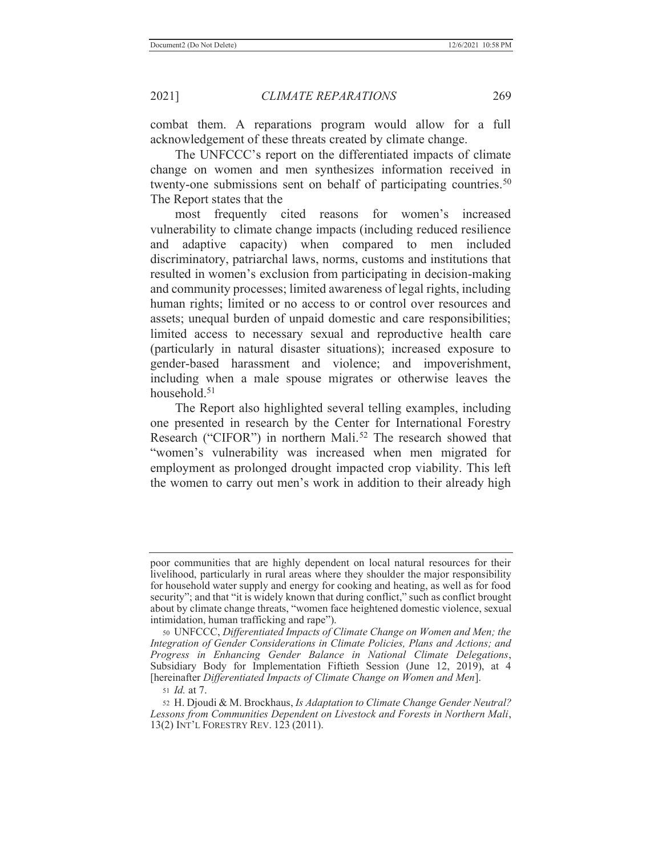combat them. A reparations program would allow for a full acknowledgement of these threats created by climate change.

The UNFCCC's report on the differentiated impacts of climate change on women and men synthesizes information received in twenty-one submissions sent on behalf of participating countries.<sup>50</sup> The Report states that the

most frequently cited reasons for women's increased vulnerability to climate change impacts (including reduced resilience and adaptive capacity) when compared to men included discriminatory, patriarchal laws, norms, customs and institutions that resulted in women's exclusion from participating in decision-making and community processes; limited awareness of legal rights, including human rights; limited or no access to or control over resources and assets; unequal burden of unpaid domestic and care responsibilities; limited access to necessary sexual and reproductive health care (particularly in natural disaster situations); increased exposure to gender-based harassment and violence; and impoverishment, including when a male spouse migrates or otherwise leaves the household.51

The Report also highlighted several telling examples, including one presented in research by the Center for International Forestry Research ("CIFOR") in northern Mali.<sup>52</sup> The research showed that "women's vulnerability was increased when men migrated for employment as prolonged drought impacted crop viability. This left the women to carry out men's work in addition to their already high

poor communities that are highly dependent on local natural resources for their livelihood, particularly in rural areas where they shoulder the major responsibility for household water supply and energy for cooking and heating, as well as for food security"; and that "it is widely known that during conflict," such as conflict brought about by climate change threats, "women face heightened domestic violence, sexual intimidation, human trafficking and rape").

<sup>50</sup> UNFCCC, *Differentiated Impacts of Climate Change on Women and Men; the Integration of Gender Considerations in Climate Policies, Plans and Actions; and Progress in Enhancing Gender Balance in National Climate Delegations*, Subsidiary Body for Implementation Fiftieth Session (June 12, 2019), at 4 [hereinafter *Differentiated Impacts of Climate Change on Women and Men*].

<sup>51</sup> *Id.* at 7.

<sup>52</sup> H. Djoudi & M. Brockhaus, *Is Adaptation to Climate Change Gender Neutral? Lessons from Communities Dependent on Livestock and Forests in Northern Mali*, 13(2) INT'L FORESTRY REV. 123 (2011).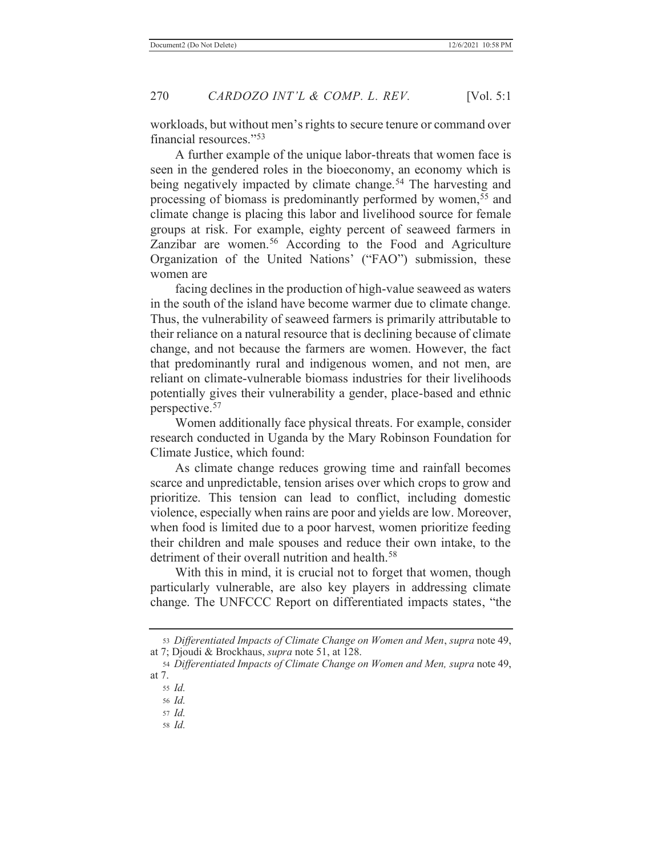workloads, but without men's rights to secure tenure or command over financial resources."<sup>53</sup>

A further example of the unique labor-threats that women face is seen in the gendered roles in the bioeconomy, an economy which is being negatively impacted by climate change.<sup>54</sup> The harvesting and processing of biomass is predominantly performed by women,<sup>55</sup> and climate change is placing this labor and livelihood source for female groups at risk. For example, eighty percent of seaweed farmers in Zanzibar are women.<sup>56</sup> According to the Food and Agriculture Organization of the United Nations' ("FAO") submission, these women are

facing declines in the production of high-value seaweed as waters in the south of the island have become warmer due to climate change. Thus, the vulnerability of seaweed farmers is primarily attributable to their reliance on a natural resource that is declining because of climate change, and not because the farmers are women. However, the fact that predominantly rural and indigenous women, and not men, are reliant on climate-vulnerable biomass industries for their livelihoods potentially gives their vulnerability a gender, place-based and ethnic perspective.57

Women additionally face physical threats. For example, consider research conducted in Uganda by the Mary Robinson Foundation for Climate Justice, which found:

As climate change reduces growing time and rainfall becomes scarce and unpredictable, tension arises over which crops to grow and prioritize. This tension can lead to conflict, including domestic violence, especially when rains are poor and yields are low. Moreover, when food is limited due to a poor harvest, women prioritize feeding their children and male spouses and reduce their own intake, to the detriment of their overall nutrition and health.<sup>58</sup>

With this in mind, it is crucial not to forget that women, though particularly vulnerable, are also key players in addressing climate change. The UNFCCC Report on differentiated impacts states, "the

<sup>53</sup> *Differentiated Impacts of Climate Change on Women and Men*, *supra* note 49, at 7; Djoudi & Brockhaus, *supra* note 51, at 128.

<sup>54</sup> *Differentiated Impacts of Climate Change on Women and Men, supra* note 49, at 7.

<sup>55</sup> *Id.*

<sup>56</sup> *Id.*

<sup>57</sup> *Id.*

<sup>58</sup> *Id.*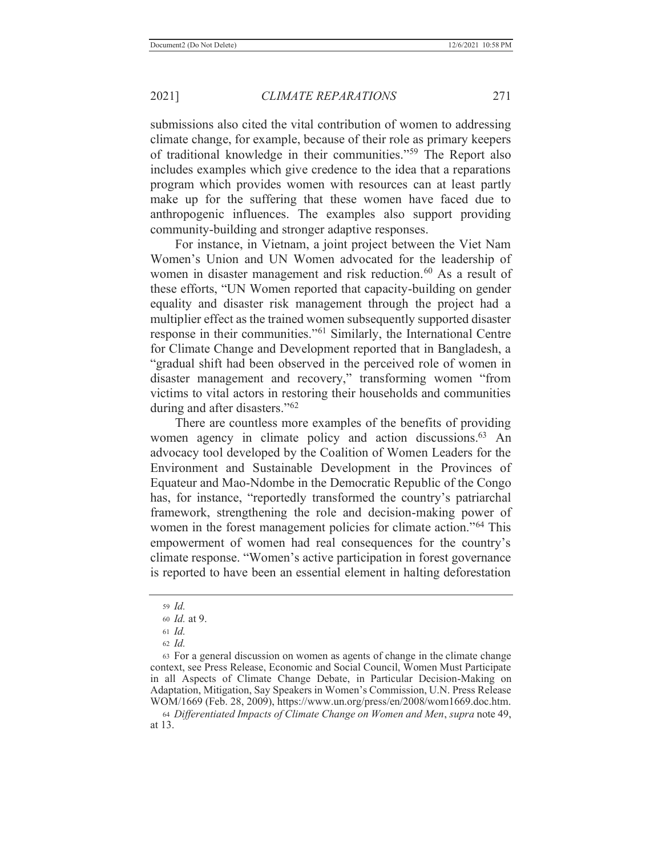submissions also cited the vital contribution of women to addressing climate change, for example, because of their role as primary keepers of traditional knowledge in their communities."59 The Report also includes examples which give credence to the idea that a reparations program which provides women with resources can at least partly make up for the suffering that these women have faced due to anthropogenic influences. The examples also support providing community-building and stronger adaptive responses.

For instance, in Vietnam, a joint project between the Viet Nam Women's Union and UN Women advocated for the leadership of women in disaster management and risk reduction.<sup>60</sup> As a result of these efforts, "UN Women reported that capacity-building on gender equality and disaster risk management through the project had a multiplier effect as the trained women subsequently supported disaster response in their communities."61 Similarly, the International Centre for Climate Change and Development reported that in Bangladesh, a "gradual shift had been observed in the perceived role of women in disaster management and recovery," transforming women "from victims to vital actors in restoring their households and communities during and after disasters."<sup>62</sup>

There are countless more examples of the benefits of providing women agency in climate policy and action discussions.<sup>63</sup> An advocacy tool developed by the Coalition of Women Leaders for the Environment and Sustainable Development in the Provinces of Equateur and Mao-Ndombe in the Democratic Republic of the Congo has, for instance, "reportedly transformed the country's patriarchal framework, strengthening the role and decision-making power of women in the forest management policies for climate action."<sup>64</sup> This empowerment of women had real consequences for the country's climate response. "Women's active participation in forest governance is reported to have been an essential element in halting deforestation

<sup>64</sup> *Differentiated Impacts of Climate Change on Women and Men*, *supra* note 49, at 13.

<sup>59</sup> *Id.*

<sup>60</sup> *Id.* at 9.

<sup>61</sup> *Id.*

<sup>62</sup> *Id.*

<sup>63</sup> For a general discussion on women as agents of change in the climate change context, see Press Release, Economic and Social Council, Women Must Participate in all Aspects of Climate Change Debate, in Particular Decision-Making on Adaptation, Mitigation, Say Speakers in Women's Commission, U.N. Press Release WOM/1669 (Feb. 28, 2009), https://www.un.org/press/en/2008/wom1669.doc.htm.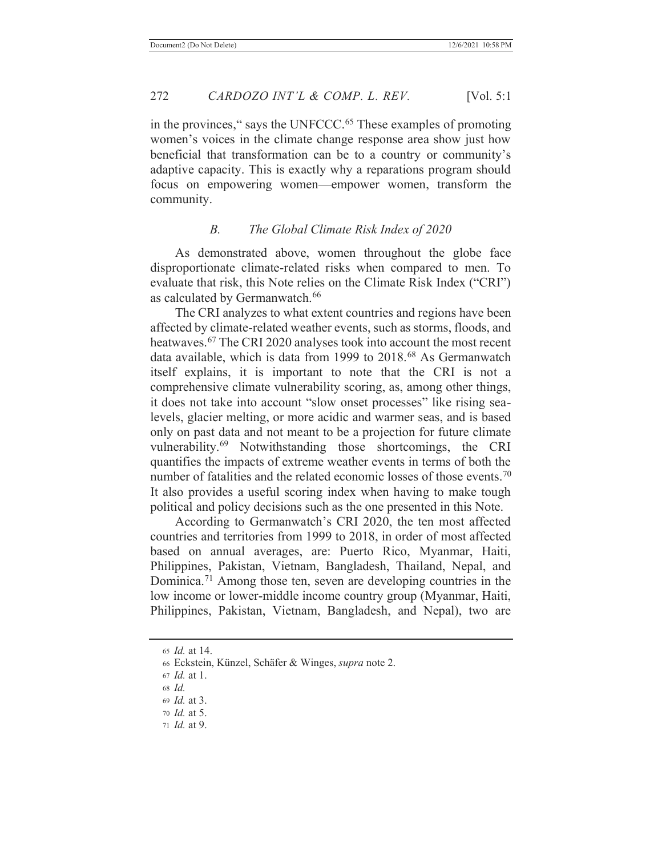in the provinces," says the UNFCCC.<sup>65</sup> These examples of promoting women's voices in the climate change response area show just how beneficial that transformation can be to a country or community's adaptive capacity. This is exactly why a reparations program should focus on empowering women—empower women, transform the community.

## *B. The Global Climate Risk Index of 2020*

As demonstrated above, women throughout the globe face disproportionate climate-related risks when compared to men. To evaluate that risk, this Note relies on the Climate Risk Index ("CRI") as calculated by Germanwatch.<sup>66</sup>

The CRI analyzes to what extent countries and regions have been affected by climate-related weather events, such as storms, floods, and heatwaves.<sup>67</sup> The CRI 2020 analyses took into account the most recent data available, which is data from 1999 to 2018.68 As Germanwatch itself explains, it is important to note that the CRI is not a comprehensive climate vulnerability scoring, as, among other things, it does not take into account "slow onset processes" like rising sealevels, glacier melting, or more acidic and warmer seas, and is based only on past data and not meant to be a projection for future climate vulnerability.69 Notwithstanding those shortcomings, the CRI quantifies the impacts of extreme weather events in terms of both the number of fatalities and the related economic losses of those events.<sup>70</sup> It also provides a useful scoring index when having to make tough political and policy decisions such as the one presented in this Note.

According to Germanwatch's CRI 2020, the ten most affected countries and territories from 1999 to 2018, in order of most affected based on annual averages, are: Puerto Rico, Myanmar, Haiti, Philippines, Pakistan, Vietnam, Bangladesh, Thailand, Nepal, and Dominica.71 Among those ten, seven are developing countries in the low income or lower-middle income country group (Myanmar, Haiti, Philippines, Pakistan, Vietnam, Bangladesh, and Nepal), two are

71 *Id.* at 9.

<sup>65</sup> *Id.* at 14.

<sup>66</sup> Eckstein, Künzel, Schäfer & Winges, *supra* note 2.

<sup>67</sup> *Id.* at 1.

<sup>68</sup> *Id.*

<sup>69</sup> *Id.* at 3.

<sup>70</sup> *Id.* at 5.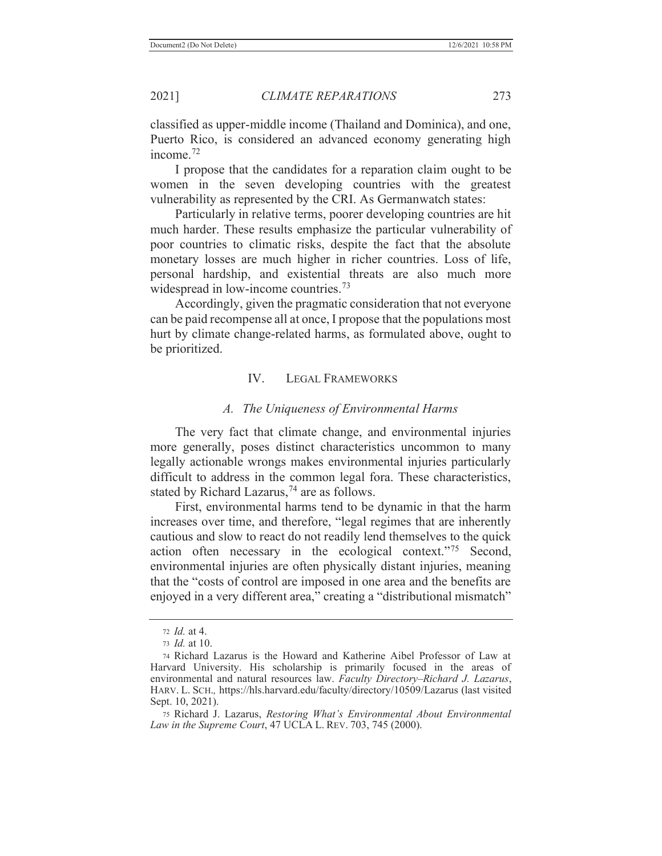classified as upper-middle income (Thailand and Dominica), and one, Puerto Rico, is considered an advanced economy generating high income.72

I propose that the candidates for a reparation claim ought to be women in the seven developing countries with the greatest vulnerability as represented by the CRI. As Germanwatch states:

Particularly in relative terms, poorer developing countries are hit much harder. These results emphasize the particular vulnerability of poor countries to climatic risks, despite the fact that the absolute monetary losses are much higher in richer countries. Loss of life, personal hardship, and existential threats are also much more widespread in low-income countries.<sup>73</sup>

Accordingly, given the pragmatic consideration that not everyone can be paid recompense all at once, I propose that the populations most hurt by climate change-related harms, as formulated above, ought to be prioritized.

## IV. LEGAL FRAMEWORKS

#### *A. The Uniqueness of Environmental Harms*

The very fact that climate change, and environmental injuries more generally, poses distinct characteristics uncommon to many legally actionable wrongs makes environmental injuries particularly difficult to address in the common legal fora. These characteristics, stated by Richard Lazarus,<sup>74</sup> are as follows.

First, environmental harms tend to be dynamic in that the harm increases over time, and therefore, "legal regimes that are inherently cautious and slow to react do not readily lend themselves to the quick action often necessary in the ecological context."75 Second, environmental injuries are often physically distant injuries, meaning that the "costs of control are imposed in one area and the benefits are enjoyed in a very different area," creating a "distributional mismatch"

75 Richard J. Lazarus, *Restoring What's Environmental About Environmental Law in the Supreme Court*, 47 UCLA L. REV. 703, 745 (2000).

<sup>72</sup> *Id.* at 4.

<sup>73</sup> *Id.* at 10.

<sup>74</sup> Richard Lazarus is the Howard and Katherine Aibel Professor of Law at Harvard University. His scholarship is primarily focused in the areas of environmental and natural resources law. *Faculty Directory–Richard J. Lazarus*, HARV. L. SCH.*,* https://hls.harvard.edu/faculty/directory/10509/Lazarus (last visited Sept. 10, 2021).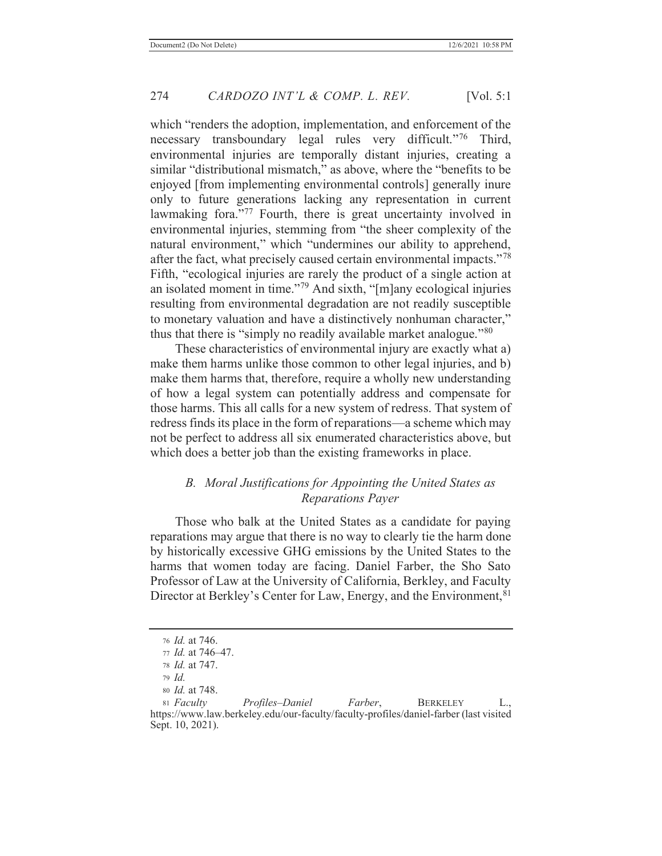which "renders the adoption, implementation, and enforcement of the necessary transboundary legal rules very difficult."76 Third, environmental injuries are temporally distant injuries, creating a similar "distributional mismatch," as above, where the "benefits to be enjoyed [from implementing environmental controls] generally inure only to future generations lacking any representation in current lawmaking fora."<sup>77</sup> Fourth, there is great uncertainty involved in environmental injuries, stemming from "the sheer complexity of the natural environment," which "undermines our ability to apprehend, after the fact, what precisely caused certain environmental impacts."<sup>78</sup> Fifth, "ecological injuries are rarely the product of a single action at an isolated moment in time."<sup>79</sup> And sixth, "[m]any ecological injuries resulting from environmental degradation are not readily susceptible to monetary valuation and have a distinctively nonhuman character," thus that there is "simply no readily available market analogue."<sup>80</sup>

These characteristics of environmental injury are exactly what a) make them harms unlike those common to other legal injuries, and b) make them harms that, therefore, require a wholly new understanding of how a legal system can potentially address and compensate for those harms. This all calls for a new system of redress. That system of redress finds its place in the form of reparations—a scheme which may not be perfect to address all six enumerated characteristics above, but which does a better job than the existing frameworks in place.

## *B. Moral Justifications for Appointing the United States as Reparations Payer*

Those who balk at the United States as a candidate for paying reparations may argue that there is no way to clearly tie the harm done by historically excessive GHG emissions by the United States to the harms that women today are facing. Daniel Farber, the Sho Sato Professor of Law at the University of California, Berkley, and Faculty Director at Berkley's Center for Law, Energy, and the Environment, <sup>81</sup>

<sup>76</sup> *Id.* at 746.

<sup>77</sup> *Id.* at 746–47.

<sup>78</sup> *Id.* at 747.

<sup>79</sup> *Id.*

<sup>80</sup> *Id.* at 748.

<sup>81</sup> *Faculty Profiles–Daniel Farber*, BERKELEY L., https://www.law.berkeley.edu/our-faculty/faculty-profiles/daniel-farber (last visited Sept. 10, 2021).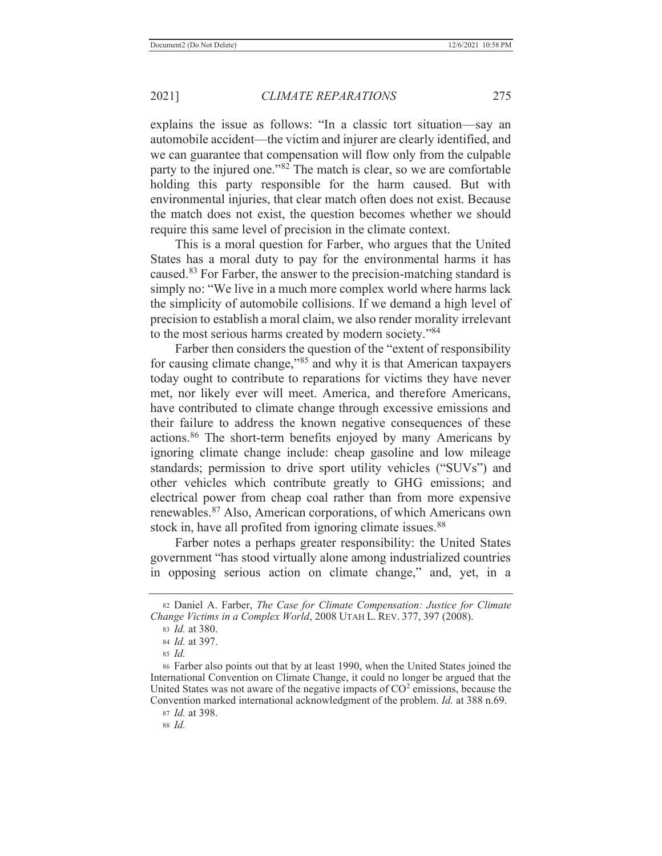explains the issue as follows: "In a classic tort situation—say an automobile accident—the victim and injurer are clearly identified, and we can guarantee that compensation will flow only from the culpable party to the injured one."82 The match is clear, so we are comfortable holding this party responsible for the harm caused. But with environmental injuries, that clear match often does not exist. Because the match does not exist, the question becomes whether we should require this same level of precision in the climate context.

This is a moral question for Farber, who argues that the United States has a moral duty to pay for the environmental harms it has caused.83 For Farber, the answer to the precision-matching standard is simply no: "We live in a much more complex world where harms lack the simplicity of automobile collisions. If we demand a high level of precision to establish a moral claim, we also render morality irrelevant to the most serious harms created by modern society."<sup>84</sup>

Farber then considers the question of the "extent of responsibility for causing climate change,"85 and why it is that American taxpayers today ought to contribute to reparations for victims they have never met, nor likely ever will meet. America, and therefore Americans, have contributed to climate change through excessive emissions and their failure to address the known negative consequences of these actions.86 The short-term benefits enjoyed by many Americans by ignoring climate change include: cheap gasoline and low mileage standards; permission to drive sport utility vehicles ("SUVs") and other vehicles which contribute greatly to GHG emissions; and electrical power from cheap coal rather than from more expensive renewables.87 Also, American corporations, of which Americans own stock in, have all profited from ignoring climate issues.<sup>88</sup>

Farber notes a perhaps greater responsibility: the United States government "has stood virtually alone among industrialized countries in opposing serious action on climate change," and, yet, in a

<sup>82</sup> Daniel A. Farber, *The Case for Climate Compensation: Justice for Climate Change Victims in a Complex World*, 2008 UTAH L. REV. 377, 397 (2008).

<sup>83</sup> *Id.* at 380.

<sup>84</sup> *Id.* at 397.

<sup>85</sup> *Id.*

<sup>86</sup> Farber also points out that by at least 1990, when the United States joined the International Convention on Climate Change, it could no longer be argued that the United States was not aware of the negative impacts of  $CO<sup>2</sup>$  emissions, because the Convention marked international acknowledgment of the problem. *Id.* at 388 n.69.

<sup>87</sup> *Id.* at 398.

<sup>88</sup> *Id.*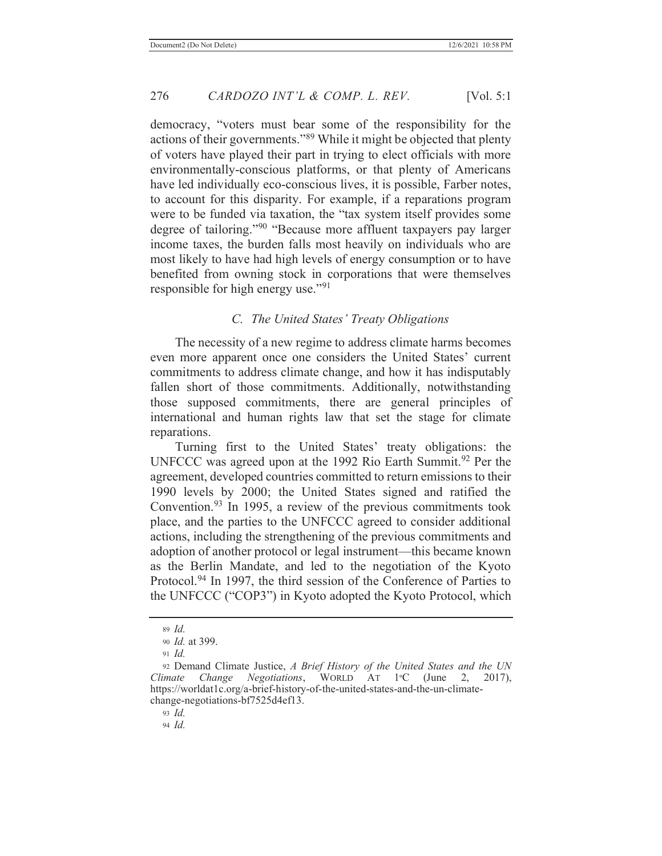democracy, "voters must bear some of the responsibility for the actions of their governments."89 While it might be objected that plenty of voters have played their part in trying to elect officials with more environmentally-conscious platforms, or that plenty of Americans have led individually eco-conscious lives, it is possible, Farber notes, to account for this disparity. For example, if a reparations program were to be funded via taxation, the "tax system itself provides some degree of tailoring."<sup>90</sup> "Because more affluent taxpayers pay larger income taxes, the burden falls most heavily on individuals who are most likely to have had high levels of energy consumption or to have benefited from owning stock in corporations that were themselves responsible for high energy use."<sup>91</sup>

#### *C. The United States' Treaty Obligations*

The necessity of a new regime to address climate harms becomes even more apparent once one considers the United States' current commitments to address climate change, and how it has indisputably fallen short of those commitments. Additionally, notwithstanding those supposed commitments, there are general principles of international and human rights law that set the stage for climate reparations.

Turning first to the United States' treaty obligations: the UNFCCC was agreed upon at the 1992 Rio Earth Summit.<sup>92</sup> Per the agreement, developed countries committed to return emissions to their 1990 levels by 2000; the United States signed and ratified the Convention.93 In 1995, a review of the previous commitments took place, and the parties to the UNFCCC agreed to consider additional actions, including the strengthening of the previous commitments and adoption of another protocol or legal instrument—this became known as the Berlin Mandate, and led to the negotiation of the Kyoto Protocol.<sup>94</sup> In 1997, the third session of the Conference of Parties to the UNFCCC ("COP3") in Kyoto adopted the Kyoto Protocol, which

<sup>89</sup> *Id.*

<sup>90</sup> *Id.* at 399.

<sup>91</sup> *Id.*

<sup>92</sup> Demand Climate Justice, *A Brief History of the United States and the UN Climate Change Negotiations*, WORLD AT 1ºC (June 2, 2017), https://worldat1c.org/a-brief-history-of-the-united-states-and-the-un-climatechange-negotiations-bf7525d4ef13.

<sup>93</sup> *Id.*

<sup>94</sup> *Id.*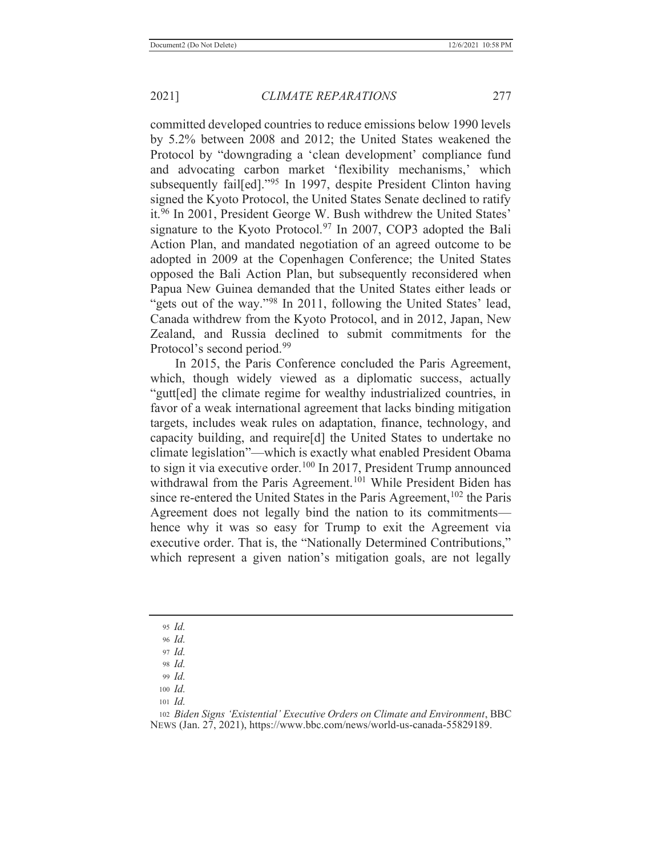committed developed countries to reduce emissions below 1990 levels by 5.2% between 2008 and 2012; the United States weakened the Protocol by "downgrading a 'clean development' compliance fund and advocating carbon market 'flexibility mechanisms,' which subsequently fail<sup>[ed]</sup>."<sup>95</sup> In 1997, despite President Clinton having signed the Kyoto Protocol, the United States Senate declined to ratify it.<sup>96</sup> In 2001, President George W. Bush withdrew the United States' signature to the Kyoto Protocol.<sup>97</sup> In 2007, COP3 adopted the Bali Action Plan, and mandated negotiation of an agreed outcome to be adopted in 2009 at the Copenhagen Conference; the United States opposed the Bali Action Plan, but subsequently reconsidered when Papua New Guinea demanded that the United States either leads or "gets out of the way."<sup>98</sup> In 2011, following the United States' lead, Canada withdrew from the Kyoto Protocol, and in 2012, Japan, New Zealand, and Russia declined to submit commitments for the Protocol's second period.<sup>99</sup>

In 2015, the Paris Conference concluded the Paris Agreement, which, though widely viewed as a diplomatic success, actually "gutt[ed] the climate regime for wealthy industrialized countries, in favor of a weak international agreement that lacks binding mitigation targets, includes weak rules on adaptation, finance, technology, and capacity building, and require[d] the United States to undertake no climate legislation"—which is exactly what enabled President Obama to sign it via executive order.<sup>100</sup> In 2017, President Trump announced withdrawal from the Paris Agreement.<sup>101</sup> While President Biden has since re-entered the United States in the Paris Agreement,<sup>102</sup> the Paris Agreement does not legally bind the nation to its commitments hence why it was so easy for Trump to exit the Agreement via executive order. That is, the "Nationally Determined Contributions," which represent a given nation's mitigation goals, are not legally

<sup>95</sup> *Id.*

<sup>96</sup> *Id.*

<sup>97</sup> *Id.* <sup>98</sup> *Id.*

<sup>99</sup> *Id.*

<sup>100</sup> *Id.*

<sup>101</sup> *Id.*

<sup>102</sup> *Biden Signs 'Existential' Executive Orders on Climate and Environment*, BBC NEWS (Jan. 27, 2021), https://www.bbc.com/news/world-us-canada-55829189.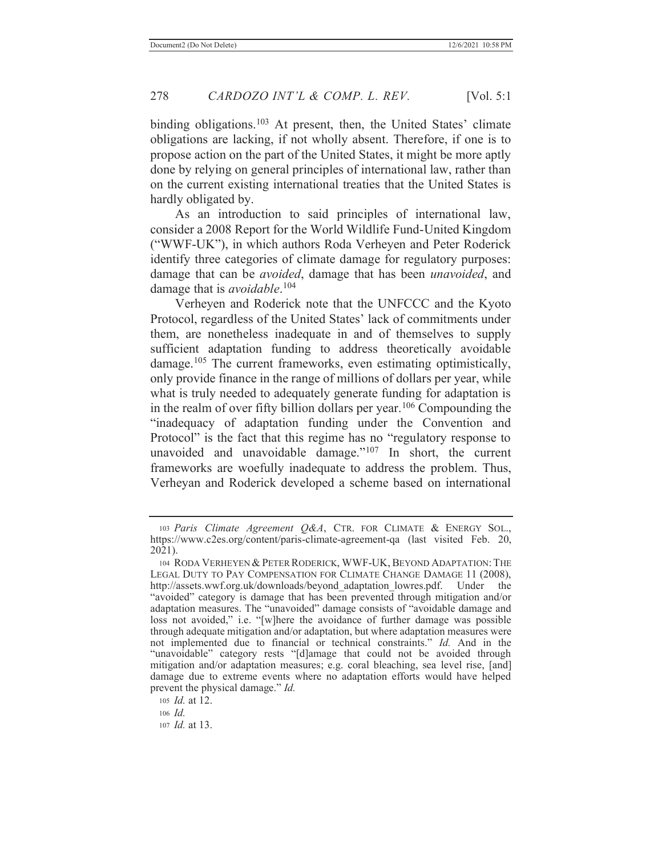binding obligations.<sup>103</sup> At present, then, the United States' climate obligations are lacking, if not wholly absent. Therefore, if one is to propose action on the part of the United States, it might be more aptly done by relying on general principles of international law, rather than on the current existing international treaties that the United States is hardly obligated by.

As an introduction to said principles of international law, consider a 2008 Report for the World Wildlife Fund-United Kingdom ("WWF-UK"), in which authors Roda Verheyen and Peter Roderick identify three categories of climate damage for regulatory purposes: damage that can be *avoided*, damage that has been *unavoided*, and damage that is *avoidable*. 104

Verheyen and Roderick note that the UNFCCC and the Kyoto Protocol, regardless of the United States' lack of commitments under them, are nonetheless inadequate in and of themselves to supply sufficient adaptation funding to address theoretically avoidable damage.<sup>105</sup> The current frameworks, even estimating optimistically, only provide finance in the range of millions of dollars per year, while what is truly needed to adequately generate funding for adaptation is in the realm of over fifty billion dollars per year.106 Compounding the "inadequacy of adaptation funding under the Convention and Protocol" is the fact that this regime has no "regulatory response to unavoided and unavoidable damage."<sup>107</sup> In short, the current frameworks are woefully inadequate to address the problem. Thus, Verheyan and Roderick developed a scheme based on international

<sup>103</sup> *Paris Climate Agreement Q&A*, CTR. FOR CLIMATE & ENERGY SOL., https://www.c2es.org/content/paris-climate-agreement-qa (last visited Feb. 20, 2021).

<sup>104</sup> RODA VERHEYEN & PETER RODERICK, WWF-UK, BEYOND ADAPTATION: THE LEGAL DUTY TO PAY COMPENSATION FOR CLIMATE CHANGE DAMAGE 11 (2008), http://assets.wwf.org.uk/downloads/beyond\_adaptation\_lowres.pdf. Under the "avoided" category is damage that has been prevented through mitigation and/or adaptation measures. The "unavoided" damage consists of "avoidable damage and loss not avoided," i.e. "[w]here the avoidance of further damage was possible through adequate mitigation and/or adaptation, but where adaptation measures were not implemented due to financial or technical constraints." *Id.* And in the "unavoidable" category rests "[d]amage that could not be avoided through mitigation and/or adaptation measures; e.g. coral bleaching, sea level rise, [and] damage due to extreme events where no adaptation efforts would have helped prevent the physical damage." *Id.*

<sup>105</sup> *Id.* at 12.

<sup>106</sup> *Id.*

<sup>107</sup> *Id.* at 13.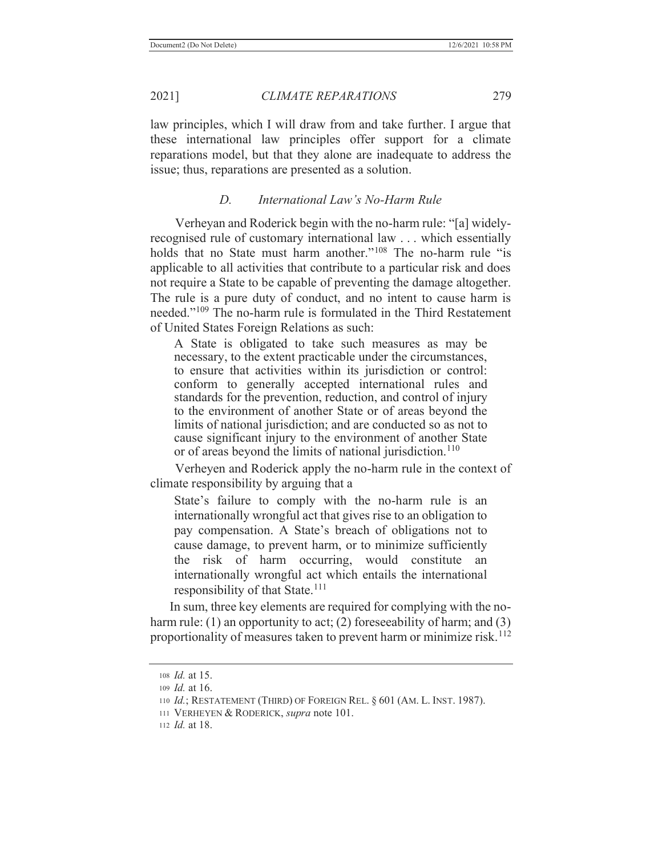law principles, which I will draw from and take further. I argue that these international law principles offer support for a climate reparations model, but that they alone are inadequate to address the issue; thus, reparations are presented as a solution.

## *D. International Law's No-Harm Rule*

Verheyan and Roderick begin with the no-harm rule: "[a] widelyrecognised rule of customary international law . . . which essentially holds that no State must harm another."<sup>108</sup> The no-harm rule "is applicable to all activities that contribute to a particular risk and does not require a State to be capable of preventing the damage altogether. The rule is a pure duty of conduct, and no intent to cause harm is needed."109 The no-harm rule is formulated in the Third Restatement of United States Foreign Relations as such:

A State is obligated to take such measures as may be necessary, to the extent practicable under the circumstances, to ensure that activities within its jurisdiction or control: conform to generally accepted international rules and standards for the prevention, reduction, and control of injury to the environment of another State or of areas beyond the limits of national jurisdiction; and are conducted so as not to cause significant injury to the environment of another State or of areas beyond the limits of national jurisdiction.<sup>110</sup>

Verheyen and Roderick apply the no-harm rule in the context of climate responsibility by arguing that a

State's failure to comply with the no-harm rule is an internationally wrongful act that gives rise to an obligation to pay compensation. A State's breach of obligations not to cause damage, to prevent harm, or to minimize sufficiently the risk of harm occurring, would constitute an internationally wrongful act which entails the international responsibility of that State.<sup>111</sup>

In sum, three key elements are required for complying with the noharm rule: (1) an opportunity to act; (2) foreseeability of harm; and (3) proportionality of measures taken to prevent harm or minimize risk.<sup>112</sup>

<sup>108</sup> *Id.* at 15.

<sup>109</sup> *Id.* at 16.

<sup>110</sup> *Id.*; RESTATEMENT (THIRD) OF FOREIGN REL. § 601 (AM. L. INST. 1987).

<sup>111</sup> VERHEYEN & RODERICK, *supra* note 101.

<sup>112</sup> *Id.* at 18.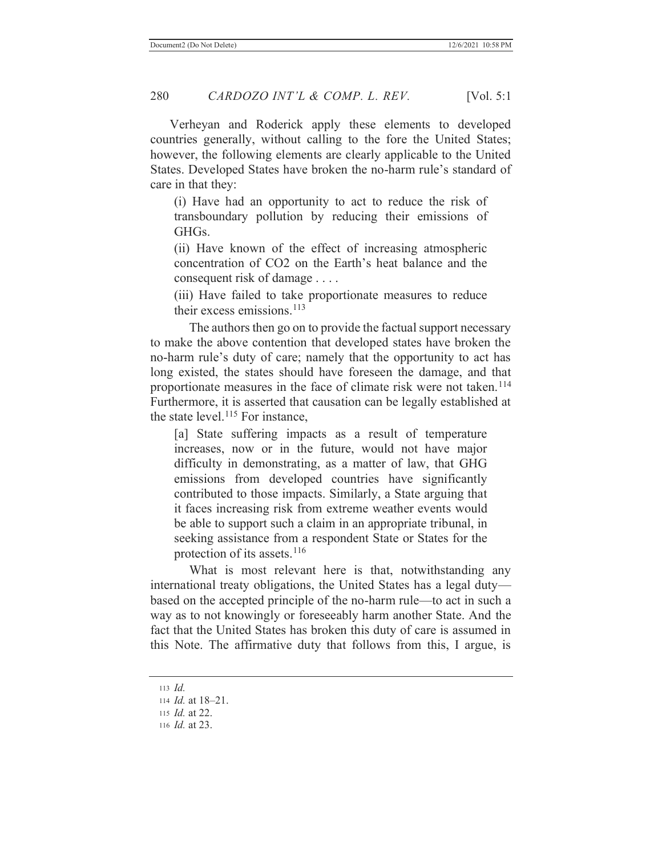Verheyan and Roderick apply these elements to developed countries generally, without calling to the fore the United States; however, the following elements are clearly applicable to the United States. Developed States have broken the no-harm rule's standard of care in that they:

(i) Have had an opportunity to act to reduce the risk of transboundary pollution by reducing their emissions of GHGs.

(ii) Have known of the effect of increasing atmospheric concentration of CO2 on the Earth's heat balance and the consequent risk of damage . . . .

(iii) Have failed to take proportionate measures to reduce their excess emissions. $113$ 

The authors then go on to provide the factual support necessary to make the above contention that developed states have broken the no-harm rule's duty of care; namely that the opportunity to act has long existed, the states should have foreseen the damage, and that proportionate measures in the face of climate risk were not taken.<sup>114</sup> Furthermore, it is asserted that causation can be legally established at the state level. $115$  For instance,

[a] State suffering impacts as a result of temperature increases, now or in the future, would not have major difficulty in demonstrating, as a matter of law, that GHG emissions from developed countries have significantly contributed to those impacts. Similarly, a State arguing that it faces increasing risk from extreme weather events would be able to support such a claim in an appropriate tribunal, in seeking assistance from a respondent State or States for the protection of its assets.<sup>116</sup>

What is most relevant here is that, notwithstanding any international treaty obligations, the United States has a legal duty based on the accepted principle of the no-harm rule—to act in such a way as to not knowingly or foreseeably harm another State. And the fact that the United States has broken this duty of care is assumed in this Note. The affirmative duty that follows from this, I argue, is

<sup>113</sup> *Id.*

<sup>114</sup> *Id.* at 18–21.

<sup>115</sup> *Id.* at 22.

<sup>116</sup> *Id.* at 23.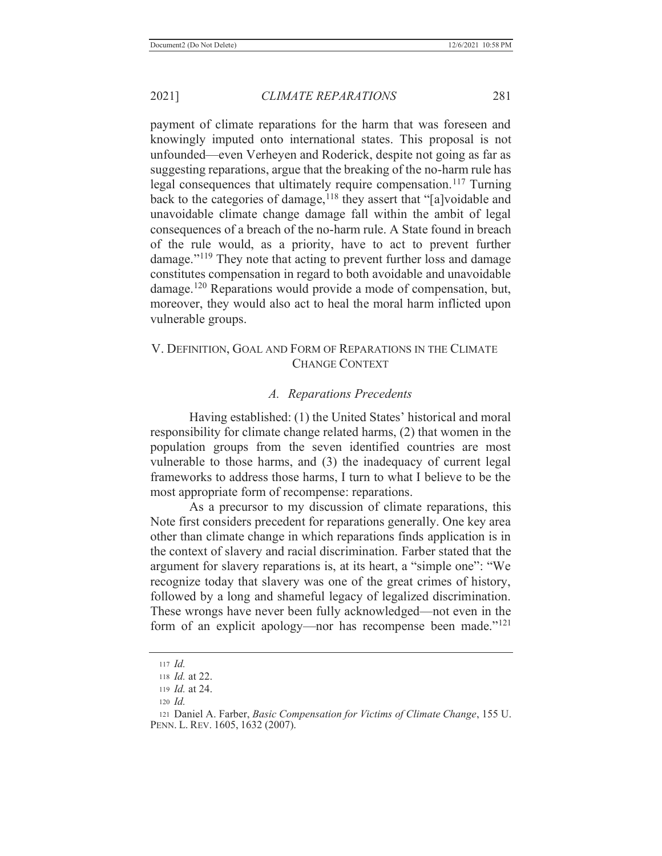payment of climate reparations for the harm that was foreseen and knowingly imputed onto international states. This proposal is not unfounded—even Verheyen and Roderick, despite not going as far as suggesting reparations, argue that the breaking of the no-harm rule has legal consequences that ultimately require compensation.<sup>117</sup> Turning back to the categories of damage,<sup>118</sup> they assert that "[a]voidable and unavoidable climate change damage fall within the ambit of legal consequences of a breach of the no-harm rule. A State found in breach of the rule would, as a priority, have to act to prevent further damage."<sup>119</sup> They note that acting to prevent further loss and damage constitutes compensation in regard to both avoidable and unavoidable damage.<sup>120</sup> Reparations would provide a mode of compensation, but, moreover, they would also act to heal the moral harm inflicted upon vulnerable groups.

## V. DEFINITION, GOAL AND FORM OF REPARATIONS IN THE CLIMATE CHANGE CONTEXT

#### *A. Reparations Precedents*

Having established: (1) the United States' historical and moral responsibility for climate change related harms, (2) that women in the population groups from the seven identified countries are most vulnerable to those harms, and (3) the inadequacy of current legal frameworks to address those harms, I turn to what I believe to be the most appropriate form of recompense: reparations.

As a precursor to my discussion of climate reparations, this Note first considers precedent for reparations generally. One key area other than climate change in which reparations finds application is in the context of slavery and racial discrimination. Farber stated that the argument for slavery reparations is, at its heart, a "simple one": "We recognize today that slavery was one of the great crimes of history, followed by a long and shameful legacy of legalized discrimination. These wrongs have never been fully acknowledged—not even in the form of an explicit apology—nor has recompense been made."<sup>121</sup>

<sup>117</sup> *Id.*

<sup>118</sup> *Id.* at 22.

<sup>119</sup> *Id.* at 24.

<sup>120</sup> *Id.*

<sup>121</sup> Daniel A. Farber, *Basic Compensation for Victims of Climate Change*, 155 U. PENN. L. REV. 1605, 1632 (2007).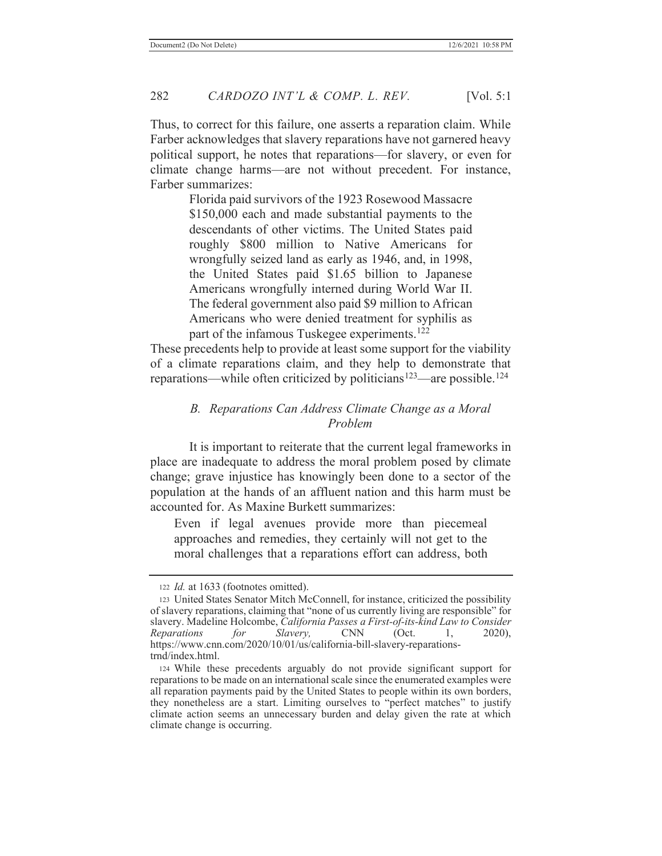Thus, to correct for this failure, one asserts a reparation claim. While Farber acknowledges that slavery reparations have not garnered heavy political support, he notes that reparations—for slavery, or even for climate change harms—are not without precedent. For instance, Farber summarizes:

> Florida paid survivors of the 1923 Rosewood Massacre \$150,000 each and made substantial payments to the descendants of other victims. The United States paid roughly \$800 million to Native Americans for wrongfully seized land as early as 1946, and, in 1998, the United States paid \$1.65 billion to Japanese Americans wrongfully interned during World War II. The federal government also paid \$9 million to African Americans who were denied treatment for syphilis as part of the infamous Tuskegee experiments.<sup>122</sup>

These precedents help to provide at least some support for the viability of a climate reparations claim, and they help to demonstrate that reparations—while often criticized by politicians<sup>123</sup>—are possible.<sup>124</sup>

## *B. Reparations Can Address Climate Change as a Moral Problem*

It is important to reiterate that the current legal frameworks in place are inadequate to address the moral problem posed by climate change; grave injustice has knowingly been done to a sector of the population at the hands of an affluent nation and this harm must be accounted for. As Maxine Burkett summarizes:

Even if legal avenues provide more than piecemeal approaches and remedies, they certainly will not get to the moral challenges that a reparations effort can address, both

<sup>122</sup> *Id.* at 1633 (footnotes omitted).

<sup>123</sup> United States Senator Mitch McConnell, for instance, criticized the possibility of slavery reparations, claiming that "none of us currently living are responsible" for slavery. Madeline Holcombe, *California Passes a First-of-its-kind Law to Consider Reparations for Slavery,* CNN (Oct. 1, 2020), https://www.cnn.com/2020/10/01/us/california-bill-slavery-reparationstrnd/index.html.

<sup>124</sup> While these precedents arguably do not provide significant support for reparations to be made on an international scale since the enumerated examples were all reparation payments paid by the United States to people within its own borders, they nonetheless are a start. Limiting ourselves to "perfect matches" to justify climate action seems an unnecessary burden and delay given the rate at which climate change is occurring.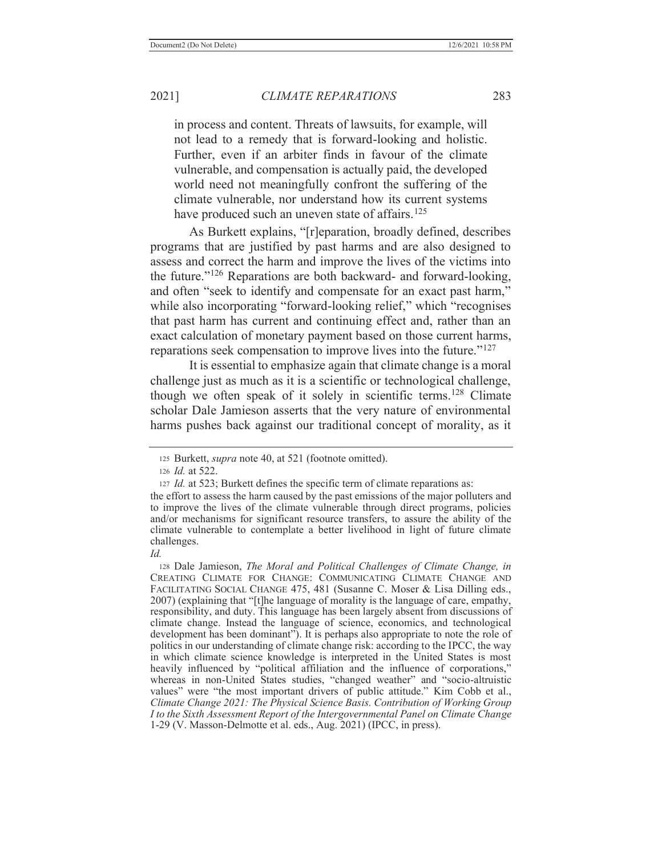in process and content. Threats of lawsuits, for example, will not lead to a remedy that is forward-looking and holistic. Further, even if an arbiter finds in favour of the climate vulnerable, and compensation is actually paid, the developed world need not meaningfully confront the suffering of the climate vulnerable, nor understand how its current systems have produced such an uneven state of affairs.<sup>125</sup>

As Burkett explains, "[r]eparation, broadly defined, describes programs that are justified by past harms and are also designed to assess and correct the harm and improve the lives of the victims into the future."126 Reparations are both backward- and forward-looking, and often "seek to identify and compensate for an exact past harm," while also incorporating "forward-looking relief," which "recognises that past harm has current and continuing effect and, rather than an exact calculation of monetary payment based on those current harms, reparations seek compensation to improve lives into the future."<sup>127</sup>

It is essential to emphasize again that climate change is a moral challenge just as much as it is a scientific or technological challenge, though we often speak of it solely in scientific terms.<sup>128</sup> Climate scholar Dale Jamieson asserts that the very nature of environmental harms pushes back against our traditional concept of morality, as it

<sup>125</sup> Burkett, *supra* note 40, at 521 (footnote omitted).

<sup>126</sup> *Id.* at 522.

<sup>127</sup> *Id.* at 523; Burkett defines the specific term of climate reparations as:

the effort to assess the harm caused by the past emissions of the major polluters and to improve the lives of the climate vulnerable through direct programs, policies and/or mechanisms for significant resource transfers, to assure the ability of the climate vulnerable to contemplate a better livelihood in light of future climate challenges.

*Id.*

<sup>128</sup> Dale Jamieson, *The Moral and Political Challenges of Climate Change, in* CREATING CLIMATE FOR CHANGE: COMMUNICATING CLIMATE CHANGE AND FACILITATING SOCIAL CHANGE 475, 481 (Susanne C. Moser & Lisa Dilling eds., 2007) (explaining that "[t]he language of morality is the language of care, empathy, responsibility, and duty. This language has been largely absent from discussions of climate change. Instead the language of science, economics, and technological development has been dominant"). It is perhaps also appropriate to note the role of politics in our understanding of climate change risk: according to the IPCC, the way in which climate science knowledge is interpreted in the United States is most heavily influenced by "political affiliation and the influence of corporations," whereas in non-United States studies, "changed weather" and "socio-altruistic values" were "the most important drivers of public attitude." Kim Cobb et al., *Climate Change 2021: The Physical Science Basis. Contribution of Working Group I to the Sixth Assessment Report of the Intergovernmental Panel on Climate Change* 1-29 (V. Masson-Delmotte et al. eds., Aug. 2021) (IPCC, in press).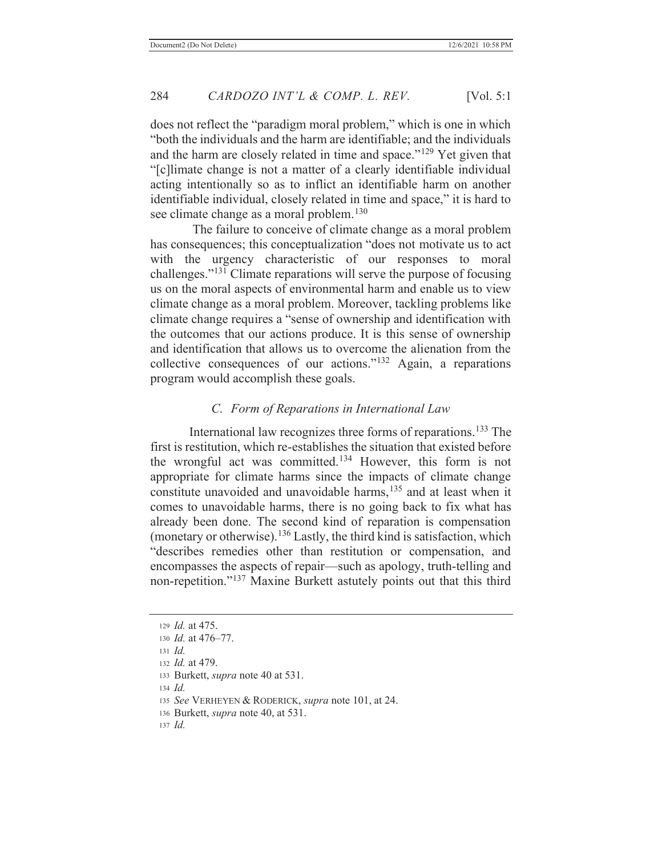does not reflect the "paradigm moral problem," which is one in which "both the individuals and the harm are identifiable; and the individuals and the harm are closely related in time and space."129 Yet given that "[c]limate change is not a matter of a clearly identifiable individual acting intentionally so as to inflict an identifiable harm on another identifiable individual, closely related in time and space," it is hard to see climate change as a moral problem.<sup>130</sup>

 The failure to conceive of climate change as a moral problem has consequences; this conceptualization "does not motivate us to act with the urgency characteristic of our responses to moral challenges."131 Climate reparations will serve the purpose of focusing us on the moral aspects of environmental harm and enable us to view climate change as a moral problem. Moreover, tackling problems like climate change requires a "sense of ownership and identification with the outcomes that our actions produce. It is this sense of ownership and identification that allows us to overcome the alienation from the collective consequences of our actions."132 Again, a reparations program would accomplish these goals.

#### *C. Form of Reparations in International Law*

International law recognizes three forms of reparations.<sup>133</sup> The first is restitution, which re-establishes the situation that existed before the wrongful act was committed.134 However, this form is not appropriate for climate harms since the impacts of climate change constitute unavoided and unavoidable harms,<sup>135</sup> and at least when it comes to unavoidable harms, there is no going back to fix what has already been done. The second kind of reparation is compensation (monetary or otherwise).<sup>136</sup> Lastly, the third kind is satisfaction, which "describes remedies other than restitution or compensation, and encompasses the aspects of repair—such as apology, truth-telling and non-repetition."137 Maxine Burkett astutely points out that this third

<sup>129</sup> *Id.* at 475. <sup>130</sup> *Id.* at 476–77. <sup>131</sup> *Id.* <sup>132</sup> *Id.* at 479. 133 Burkett, *supra* note 40 at 531. <sup>134</sup> *Id.* <sup>135</sup> *See* VERHEYEN & RODERICK, *supra* note 101, at 24. 136 Burkett, *supra* note 40, at 531.

<sup>137</sup> *Id.*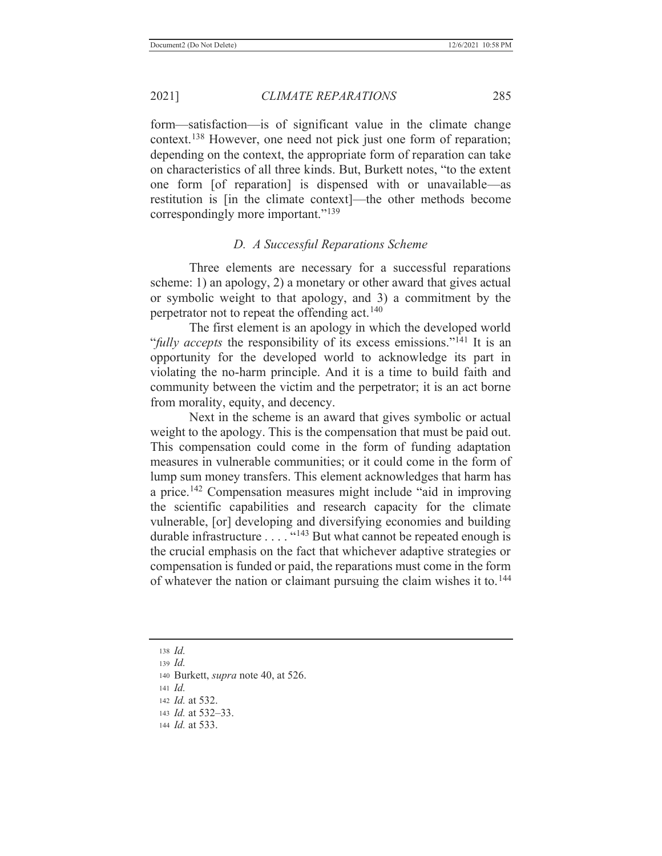form—satisfaction—is of significant value in the climate change context.<sup>138</sup> However, one need not pick just one form of reparation; depending on the context, the appropriate form of reparation can take on characteristics of all three kinds. But, Burkett notes, "to the extent one form [of reparation] is dispensed with or unavailable—as restitution is [in the climate context]—the other methods become correspondingly more important."<sup>139</sup>

# *D. A Successful Reparations Scheme*

Three elements are necessary for a successful reparations scheme: 1) an apology, 2) a monetary or other award that gives actual or symbolic weight to that apology, and 3) a commitment by the perpetrator not to repeat the offending act.<sup>140</sup>

The first element is an apology in which the developed world "*fully accepts* the responsibility of its excess emissions."<sup>141</sup> It is an opportunity for the developed world to acknowledge its part in violating the no-harm principle. And it is a time to build faith and community between the victim and the perpetrator; it is an act borne from morality, equity, and decency.

Next in the scheme is an award that gives symbolic or actual weight to the apology. This is the compensation that must be paid out. This compensation could come in the form of funding adaptation measures in vulnerable communities; or it could come in the form of lump sum money transfers. This element acknowledges that harm has a price.<sup>142</sup> Compensation measures might include "aid in improving" the scientific capabilities and research capacity for the climate vulnerable, [or] developing and diversifying economies and building durable infrastructure  $\dots$  .  $\cdot$   $\cdot$   $\cdot$   $\cdot$  and  $\cdot$  and  $\cdot$  and  $\cdot$  and  $\cdot$  are repeated enough is the crucial emphasis on the fact that whichever adaptive strategies or compensation is funded or paid, the reparations must come in the form of whatever the nation or claimant pursuing the claim wishes it to.<sup>144</sup>

<sup>138</sup> *Id.*

<sup>139</sup> *Id.*

144 *Id.* at 533.

<sup>140</sup> Burkett, *supra* note 40, at 526.

<sup>141</sup> *Id.*

<sup>142</sup> *Id.* at 532.

<sup>143</sup> *Id.* at 532–33.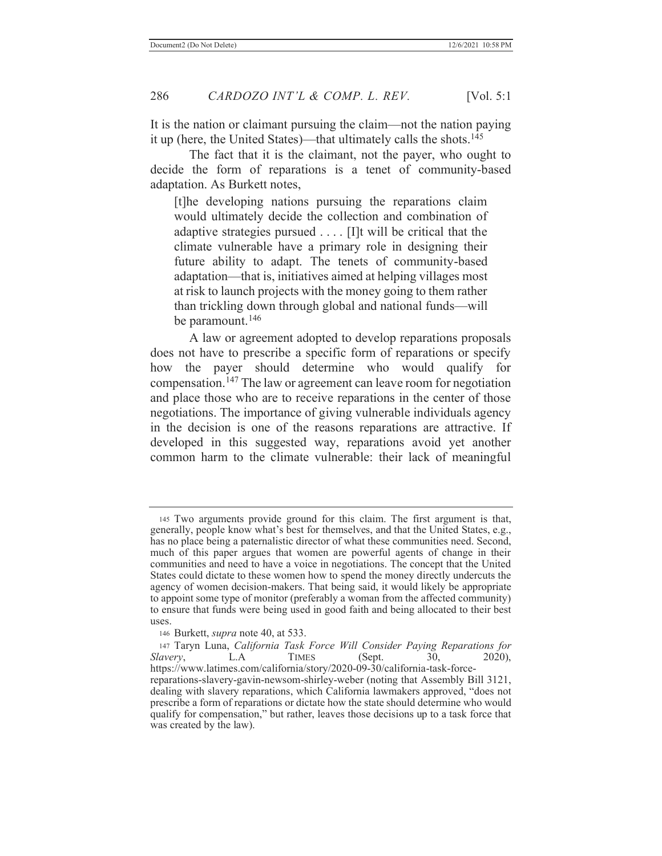It is the nation or claimant pursuing the claim—not the nation paying it up (here, the United States)—that ultimately calls the shots. $145$ 

The fact that it is the claimant, not the payer, who ought to decide the form of reparations is a tenet of community-based adaptation. As Burkett notes,

[t]he developing nations pursuing the reparations claim would ultimately decide the collection and combination of adaptive strategies pursued . . . . [I]t will be critical that the climate vulnerable have a primary role in designing their future ability to adapt. The tenets of community-based adaptation—that is, initiatives aimed at helping villages most at risk to launch projects with the money going to them rather than trickling down through global and national funds—will be paramount.<sup>146</sup>

A law or agreement adopted to develop reparations proposals does not have to prescribe a specific form of reparations or specify how the payer should determine who would qualify for compensation.147 The law or agreement can leave room for negotiation and place those who are to receive reparations in the center of those negotiations. The importance of giving vulnerable individuals agency in the decision is one of the reasons reparations are attractive. If developed in this suggested way, reparations avoid yet another common harm to the climate vulnerable: their lack of meaningful

<sup>145</sup> Two arguments provide ground for this claim. The first argument is that, generally, people know what's best for themselves, and that the United States, e.g., has no place being a paternalistic director of what these communities need. Second, much of this paper argues that women are powerful agents of change in their communities and need to have a voice in negotiations. The concept that the United States could dictate to these women how to spend the money directly undercuts the agency of women decision-makers. That being said, it would likely be appropriate to appoint some type of monitor (preferably a woman from the affected community) to ensure that funds were being used in good faith and being allocated to their best uses.

<sup>146</sup> Burkett, *supra* note 40, at 533.

<sup>147</sup> Taryn Luna, *California Task Force Will Consider Paying Reparations for Slavery*, L.A TIMES (Sept. 30, 2020), https://www.latimes.com/california/story/2020-09-30/california-task-forcereparations-slavery-gavin-newsom-shirley-weber (noting that Assembly Bill 3121, dealing with slavery reparations, which California lawmakers approved, "does not prescribe a form of reparations or dictate how the state should determine who would qualify for compensation," but rather, leaves those decisions up to a task force that was created by the law).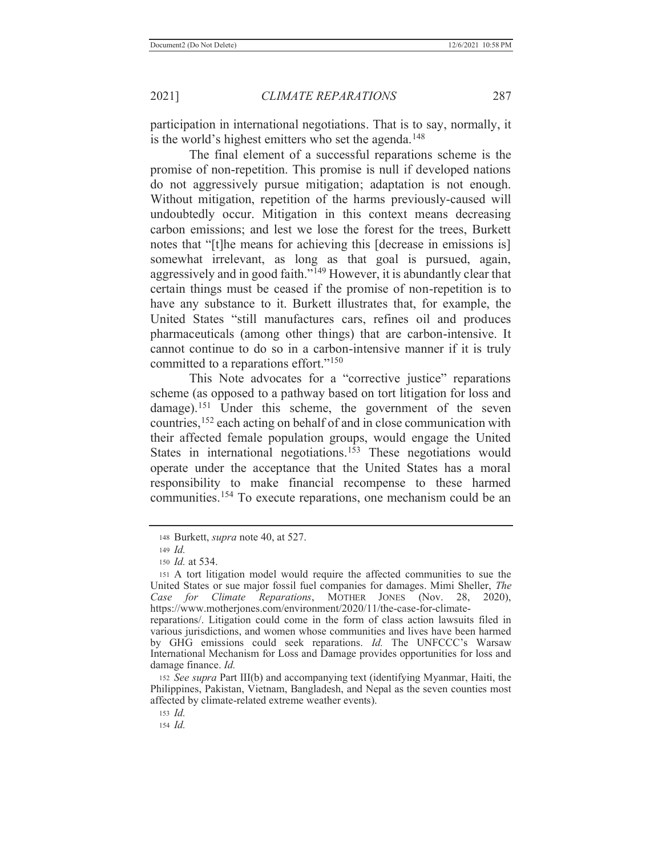participation in international negotiations. That is to say, normally, it is the world's highest emitters who set the agenda.<sup>148</sup>

The final element of a successful reparations scheme is the promise of non-repetition. This promise is null if developed nations do not aggressively pursue mitigation; adaptation is not enough. Without mitigation, repetition of the harms previously-caused will undoubtedly occur. Mitigation in this context means decreasing carbon emissions; and lest we lose the forest for the trees, Burkett notes that "[t]he means for achieving this [decrease in emissions is] somewhat irrelevant, as long as that goal is pursued, again, aggressively and in good faith."149 However, it is abundantly clear that certain things must be ceased if the promise of non-repetition is to have any substance to it. Burkett illustrates that, for example, the United States "still manufactures cars, refines oil and produces pharmaceuticals (among other things) that are carbon-intensive. It cannot continue to do so in a carbon-intensive manner if it is truly committed to a reparations effort."<sup>150</sup>

This Note advocates for a "corrective justice" reparations scheme (as opposed to a pathway based on tort litigation for loss and damage).<sup>151</sup> Under this scheme, the government of the seven countries,152 each acting on behalf of and in close communication with their affected female population groups, would engage the United States in international negotiations.<sup>153</sup> These negotiations would operate under the acceptance that the United States has a moral responsibility to make financial recompense to these harmed communities.154 To execute reparations, one mechanism could be an

<sup>153</sup> *Id.*

154 *Id.*

<sup>148</sup> Burkett, *supra* note 40, at 527.

<sup>149</sup> *Id.*

<sup>150</sup> *Id.* at 534.

<sup>151</sup> A tort litigation model would require the affected communities to sue the United States or sue major fossil fuel companies for damages. Mimi Sheller, *The Case for Climate Reparations*, MOTHER JONES (Nov. 28, 2020), https://www.motherjones.com/environment/2020/11/the-case-for-climate-

reparations/. Litigation could come in the form of class action lawsuits filed in various jurisdictions, and women whose communities and lives have been harmed by GHG emissions could seek reparations. *Id.* The UNFCCC's Warsaw International Mechanism for Loss and Damage provides opportunities for loss and damage finance. *Id.* 

<sup>152</sup> *See supra* Part III(b) and accompanying text (identifying Myanmar, Haiti, the Philippines, Pakistan, Vietnam, Bangladesh, and Nepal as the seven counties most affected by climate-related extreme weather events).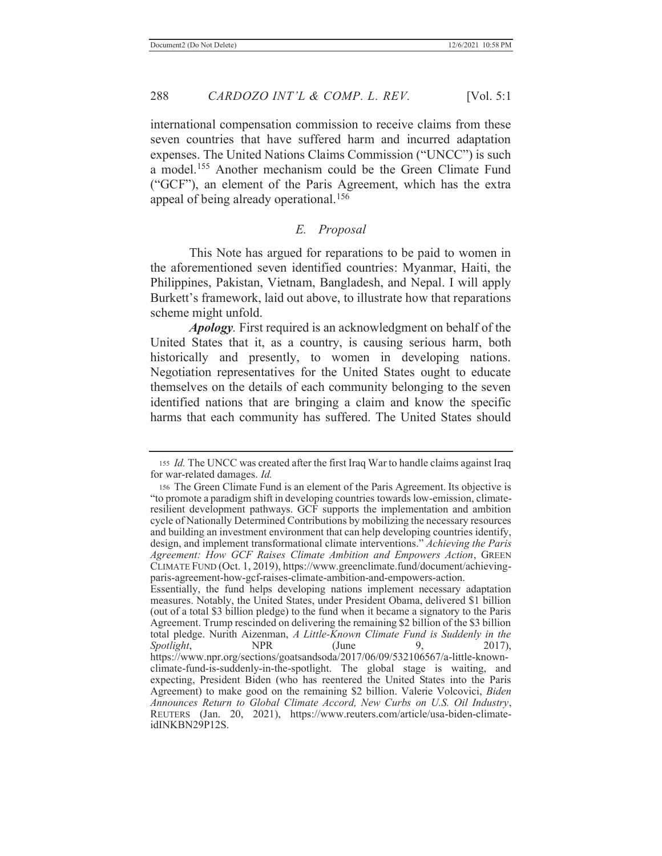international compensation commission to receive claims from these seven countries that have suffered harm and incurred adaptation expenses. The United Nations Claims Commission ("UNCC") is such

a model.155 Another mechanism could be the Green Climate Fund ("GCF"), an element of the Paris Agreement, which has the extra appeal of being already operational.<sup>156</sup>

# *E. Proposal*

This Note has argued for reparations to be paid to women in the aforementioned seven identified countries: Myanmar, Haiti, the Philippines, Pakistan, Vietnam, Bangladesh, and Nepal. I will apply Burkett's framework, laid out above, to illustrate how that reparations scheme might unfold.

*Apology.* First required is an acknowledgment on behalf of the United States that it, as a country, is causing serious harm, both historically and presently, to women in developing nations. Negotiation representatives for the United States ought to educate themselves on the details of each community belonging to the seven identified nations that are bringing a claim and know the specific harms that each community has suffered. The United States should

Essentially, the fund helps developing nations implement necessary adaptation measures. Notably, the United States, under President Obama, delivered \$1 billion (out of a total \$3 billion pledge) to the fund when it became a signatory to the Paris Agreement. Trump rescinded on delivering the remaining \$2 billion of the \$3 billion total pledge. Nurith Aizenman, *A Little-Known Climate Fund is Suddenly in the Spotlight*, **NPR** (June 9, 2017), https://www.npr.org/sections/goatsandsoda/2017/06/09/532106567/a-little-knownclimate-fund-is-suddenly-in-the-spotlight. The global stage is waiting, and expecting, President Biden (who has reentered the United States into the Paris Agreement) to make good on the remaining \$2 billion. Valerie Volcovici, *Biden Announces Return to Global Climate Accord, New Curbs on U.S. Oil Industry*, REUTERS (Jan. 20, 2021), https://www.reuters.com/article/usa-biden-climateidINKBN29P12S.

<sup>155</sup> *Id.* The UNCC was created after the first Iraq War to handle claims against Iraq for war-related damages. *Id.* 

<sup>156</sup> The Green Climate Fund is an element of the Paris Agreement. Its objective is "to promote a paradigm shift in developing countries towards low-emission, climateresilient development pathways. GCF supports the implementation and ambition cycle of Nationally Determined Contributions by mobilizing the necessary resources and building an investment environment that can help developing countries identify, design, and implement transformational climate interventions." *Achieving the Paris Agreement: How GCF Raises Climate Ambition and Empowers Action*, GREEN CLIMATE FUND (Oct. 1, 2019), https://www.greenclimate.fund/document/achievingparis-agreement-how-gcf-raises-climate-ambition-and-empowers-action.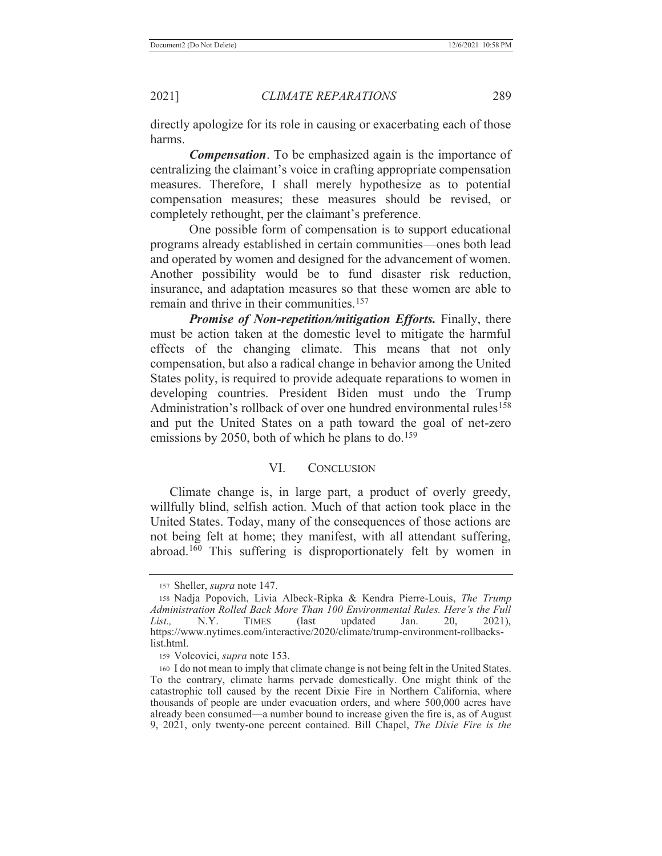directly apologize for its role in causing or exacerbating each of those harms.

*Compensation*. To be emphasized again is the importance of centralizing the claimant's voice in crafting appropriate compensation measures. Therefore, I shall merely hypothesize as to potential compensation measures; these measures should be revised, or completely rethought, per the claimant's preference.

One possible form of compensation is to support educational programs already established in certain communities—ones both lead and operated by women and designed for the advancement of women. Another possibility would be to fund disaster risk reduction, insurance, and adaptation measures so that these women are able to remain and thrive in their communities.<sup>157</sup>

*Promise of Non-repetition/mitigation Efforts.* Finally, there must be action taken at the domestic level to mitigate the harmful effects of the changing climate. This means that not only compensation, but also a radical change in behavior among the United States polity, is required to provide adequate reparations to women in developing countries. President Biden must undo the Trump Administration's rollback of over one hundred environmental rules<sup>158</sup> and put the United States on a path toward the goal of net-zero emissions by 2050, both of which he plans to do.<sup>159</sup>

### VI. CONCLUSION

 Climate change is, in large part, a product of overly greedy, willfully blind, selfish action. Much of that action took place in the United States. Today, many of the consequences of those actions are not being felt at home; they manifest, with all attendant suffering, abroad.160 This suffering is disproportionately felt by women in

<sup>157</sup> Sheller, *supra* note 147.

<sup>158</sup> Nadja Popovich, Livia Albeck-Ripka & Kendra Pierre-Louis, *The Trump Administration Rolled Back More Than 100 Environmental Rules. Here's the Full List.,* N.Y. TIMES (last updated Jan. 20, 2021), https://www.nytimes.com/interactive/2020/climate/trump-environment-rollbackslist.html.

<sup>159</sup> Volcovici, *supra* note 153.

<sup>160</sup> I do not mean to imply that climate change is not being felt in the United States. To the contrary, climate harms pervade domestically. One might think of the catastrophic toll caused by the recent Dixie Fire in Northern California, where thousands of people are under evacuation orders, and where 500,000 acres have already been consumed—a number bound to increase given the fire is, as of August 9, 2021, only twenty-one percent contained. Bill Chapel, *The Dixie Fire is the*